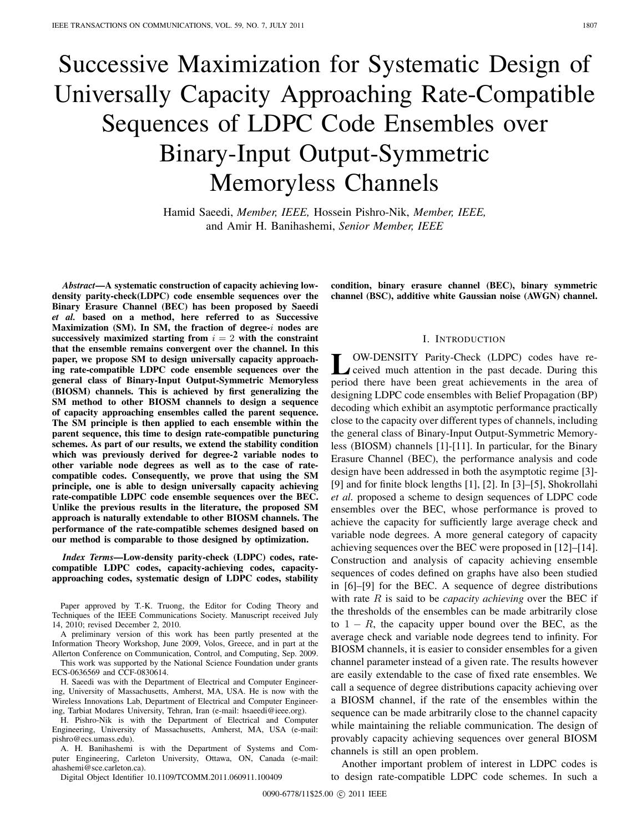# Successive Maximization for Systematic Design of Universally Capacity Approaching Rate-Compatible Sequences of LDPC Code Ensembles over Binary-Input Output-Symmetric Memoryless Channels

Hamid Saeedi, *Member, IEEE,* Hossein Pishro-Nik, *Member, IEEE,* and Amir H. Banihashemi, *Senior Member, IEEE*

*Abstract***—A systematic construction of capacity achieving lowdensity parity-check(LDPC) code ensemble sequences over the Binary Erasure Channel (BEC) has been proposed by Saeedi** *et al.* **based on a method, here referred to as Successive Maximization (SM). In SM, the fraction of degree-***i* nodes are successively maximized starting from  $i = 2$  with the constraint **that the ensemble remains convergent over the channel. In this paper, we propose SM to design universally capacity approaching rate-compatible LDPC code ensemble sequences over the general class of Binary-Input Output-Symmetric Memoryless (BIOSM) channels. This is achieved by first generalizing the SM method to other BIOSM channels to design a sequence of capacity approaching ensembles called the parent sequence. The SM principle is then applied to each ensemble within the parent sequence, this time to design rate-compatible puncturing schemes. As part of our results, we extend the stability condition which was previously derived for degree-2 variable nodes to other variable node degrees as well as to the case of ratecompatible codes. Consequently, we prove that using the SM principle, one is able to design universally capacity achieving rate-compatible LDPC code ensemble sequences over the BEC. Unlike the previous results in the literature, the proposed SM approach is naturally extendable to other BIOSM channels. The performance of the rate-compatible schemes designed based on our method is comparable to those designed by optimization.**

*Index Terms***—Low-density parity-check (LDPC) codes, ratecompatible LDPC codes, capacity-achieving codes, capacityapproaching codes, systematic design of LDPC codes, stability**

Paper approved by T.-K. Truong, the Editor for Coding Theory and Techniques of the IEEE Communications Society. Manuscript received July 14, 2010; revised December 2, 2010.

A preliminary version of this work has been partly presented at the Information Theory Workshop, June 2009, Volos, Greece, and in part at the Allerton Conference on Communication, Control, and Computing, Sep. 2009. This work was supported by the National Science Foundation under grants ECS-0636569 and CCF-0830614.

H. Saeedi was with the Department of Electrical and Computer Engineering, University of Massachusetts, Amherst, MA, USA. He is now with the Wireless Innovations Lab, Department of Electrical and Computer Engineering, Tarbiat Modares University, Tehran, Iran (e-mail: hsaeedi@ieee.org).

H. Pishro-Nik is with the Department of Electrical and Computer Engineering, University of Massachusetts, Amherst, MA, USA (e-mail: pishro@ecs.umass.edu).

A. H. Banihashemi is with the Department of Systems and Computer Engineering, Carleton University, Ottawa, ON, Canada (e-mail: ahashemi@sce.carleton.ca).

Digital Object Identifier 10.1109/TCOMM.2011.060911.100409

**condition, binary erasure channel (BEC), binary symmetric channel (BSC), additive white Gaussian noise (AWGN) channel.**

#### I. INTRODUCTION

OW-DENSITY Parity-Check (LDPC) codes have received much attention in the past decade. During this period there have been great achievements in the area of designing LDPC code ensembles with Belief Propagation (BP) decoding which exhibit an asymptotic performance practically close to the capacity over different types of channels, including the general class of Binary-Input Output-Symmetric Memoryless (BIOSM) channels [1]-[11]. In particular, for the Binary Erasure Channel (BEC), the performance analysis and code design have been addressed in both the asymptotic regime [3]- [9] and for finite block lengths [1], [2]. In [3]–[5], Shokrollahi *et al.* proposed a scheme to design sequences of LDPC code ensembles over the BEC, whose performance is proved to achieve the capacity for sufficiently large average check and variable node degrees. A more general category of capacity achieving sequences over the BEC were proposed in [12]–[14]. Construction and analysis of capacity achieving ensemble sequences of codes defined on graphs have also been studied in [6]–[9] for the BEC. A sequence of degree distributions with rate  $R$  is said to be *capacity achieving* over the BEC if the thresholds of the ensembles can be made arbitrarily close to  $1 - R$ , the capacity upper bound over the BEC, as the average check and variable node degrees tend to infinity. For BIOSM channels, it is easier to consider ensembles for a given channel parameter instead of a given rate. The results however are easily extendable to the case of fixed rate ensembles. We call a sequence of degree distributions capacity achieving over a BIOSM channel, if the rate of the ensembles within the sequence can be made arbitrarily close to the channel capacity while maintaining the reliable communication. The design of provably capacity achieving sequences over general BIOSM channels is still an open problem.

Another important problem of interest in LDPC codes is to design rate-compatible LDPC code schemes. In such a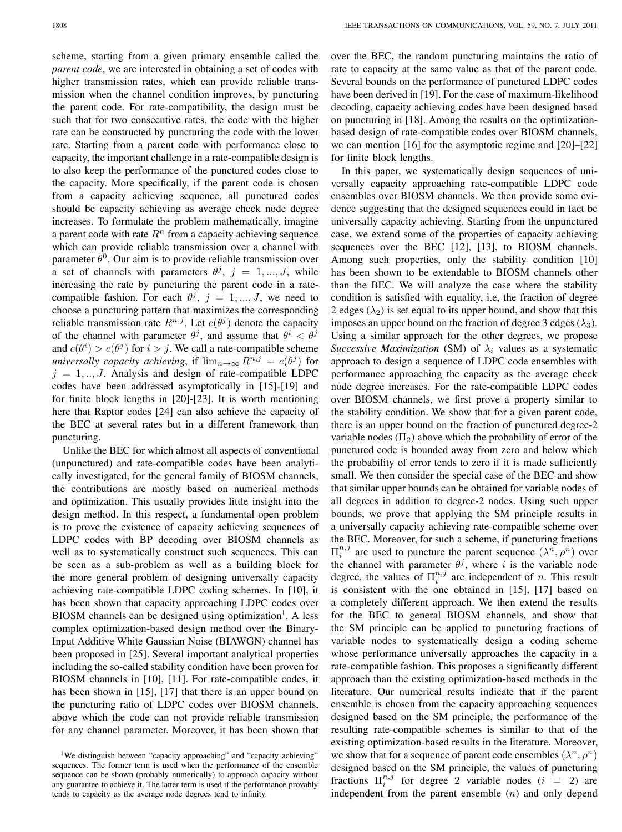scheme, starting from a given primary ensemble called the *parent code*, we are interested in obtaining a set of codes with higher transmission rates, which can provide reliable transmission when the channel condition improves, by puncturing the parent code. For rate-compatibility, the design must be such that for two consecutive rates, the code with the higher rate can be constructed by puncturing the code with the lower rate. Starting from a parent code with performance close to capacity, the important challenge in a rate-compatible design is to also keep the performance of the punctured codes close to the capacity. More specifically, if the parent code is chosen from a capacity achieving sequence, all punctured codes should be capacity achieving as average check node degree increases. To formulate the problem mathematically, imagine a parent code with rate  $R<sup>n</sup>$  from a capacity achieving sequence which can provide reliable transmission over a channel with parameter  $\theta^0$ . Our aim is to provide reliable transmission over a set of channels with parameters  $\theta^j$ ,  $j = 1, ..., J$ , while increasing the rate by puncturing the parent code in a ratecompatible fashion. For each  $\theta^j$ ,  $j = 1, ..., J$ , we need to choose a puncturing pattern that maximizes the corresponding reliable transmission rate  $R^{n,j}$ . Let  $c(\theta^j)$  denote the capacity of the channel with parameter  $\theta^j$ , and assume that  $\theta^i < \theta^j$ and  $c(\theta^i) > c(\theta^j)$  for  $i > j$ . We call a rate-compatible scheme *universally capacity achieving*, if  $\lim_{n\to\infty} R^{n,j} = c(\theta^j)$  for  $j = 1, \ldots, J$ . Analysis and design of rate-compatible LDPC codes have been addressed asymptotically in [15]-[19] and for finite block lengths in [20]-[23]. It is worth mentioning here that Raptor codes [24] can also achieve the capacity of the BEC at several rates but in a different framework than puncturing.

Unlike the BEC for which almost all aspects of conventional (unpunctured) and rate-compatible codes have been analytically investigated, for the general family of BIOSM channels, the contributions are mostly based on numerical methods and optimization. This usually provides little insight into the design method. In this respect, a fundamental open problem is to prove the existence of capacity achieving sequences of LDPC codes with BP decoding over BIOSM channels as well as to systematically construct such sequences. This can be seen as a sub-problem as well as a building block for the more general problem of designing universally capacity achieving rate-compatible LDPC coding schemes. In [10], it has been shown that capacity approaching LDPC codes over BIOSM channels can be designed using optimization<sup>1</sup>. A less complex optimization-based design method over the Binary-Input Additive White Gaussian Noise (BIAWGN) channel has been proposed in [25]. Several important analytical properties including the so-called stability condition have been proven for BIOSM channels in [10], [11]. For rate-compatible codes, it has been shown in [15], [17] that there is an upper bound on the puncturing ratio of LDPC codes over BIOSM channels, above which the code can not provide reliable transmission for any channel parameter. Moreover, it has been shown that

over the BEC, the random puncturing maintains the ratio of rate to capacity at the same value as that of the parent code. Several bounds on the performance of punctured LDPC codes have been derived in [19]. For the case of maximum-likelihood decoding, capacity achieving codes have been designed based on puncturing in [18]. Among the results on the optimizationbased design of rate-compatible codes over BIOSM channels, we can mention [16] for the asymptotic regime and [20]–[22] for finite block lengths.

In this paper, we systematically design sequences of universally capacity approaching rate-compatible LDPC code ensembles over BIOSM channels. We then provide some evidence suggesting that the designed sequences could in fact be universally capacity achieving. Starting from the unpunctured case, we extend some of the properties of capacity achieving sequences over the BEC [12], [13], to BIOSM channels. Among such properties, only the stability condition [10] has been shown to be extendable to BIOSM channels other than the BEC. We will analyze the case where the stability condition is satisfied with equality, i.e, the fraction of degree 2 edges  $(\lambda_2)$  is set equal to its upper bound, and show that this imposes an upper bound on the fraction of degree 3 edges  $(\lambda_3)$ . Using a similar approach for the other degrees, we propose *Successive Maximization* (SM) of  $\lambda_i$  values as a systematic approach to design a sequence of LDPC code ensembles with performance approaching the capacity as the average check node degree increases. For the rate-compatible LDPC codes over BIOSM channels, we first prove a property similar to the stability condition. We show that for a given parent code, there is an upper bound on the fraction of punctured degree-2 variable nodes  $(\Pi_2)$  above which the probability of error of the punctured code is bounded away from zero and below which the probability of error tends to zero if it is made sufficiently small. We then consider the special case of the BEC and show that similar upper bounds can be obtained for variable nodes of all degrees in addition to degree-2 nodes. Using such upper bounds, we prove that applying the SM principle results in a universally capacity achieving rate-compatible scheme over the BEC. Moreover, for such a scheme, if puncturing fractions  $\Pi_i^{n,j}$  are used to puncture the parent sequence  $(\lambda^n, \rho^n)$  over the channel with parameter  $\theta^j$ , where *i* is the variable node degree, the values of  $\Pi_i^{n,j}$  are independent of n. This result is consistent with the one obtained in [15], [17] based on a completely different approach. We then extend the results for the BEC to general BIOSM channels, and show that the SM principle can be applied to puncturing fractions of variable nodes to systematically design a coding scheme whose performance universally approaches the capacity in a rate-compatible fashion. This proposes a significantly different approach than the existing optimization-based methods in the literature. Our numerical results indicate that if the parent ensemble is chosen from the capacity approaching sequences designed based on the SM principle, the performance of the resulting rate-compatible schemes is similar to that of the existing optimization-based results in the literature. Moreover, we show that for a sequence of parent code ensembles  $(\lambda^n, \rho^n)$ designed based on the SM principle, the values of puncturing fractions  $\Pi_i^{n,j}$  for degree 2 variable nodes  $(i = 2)$  are independent from the parent ensemble  $(n)$  and only depend

<sup>&</sup>lt;sup>1</sup>We distinguish between "capacity approaching" and "capacity achieving" sequences. The former term is used when the performance of the ensemble sequence can be shown (probably numerically) to approach capacity without any guarantee to achieve it. The latter term is used if the performance provably tends to capacity as the average node degrees tend to infinity.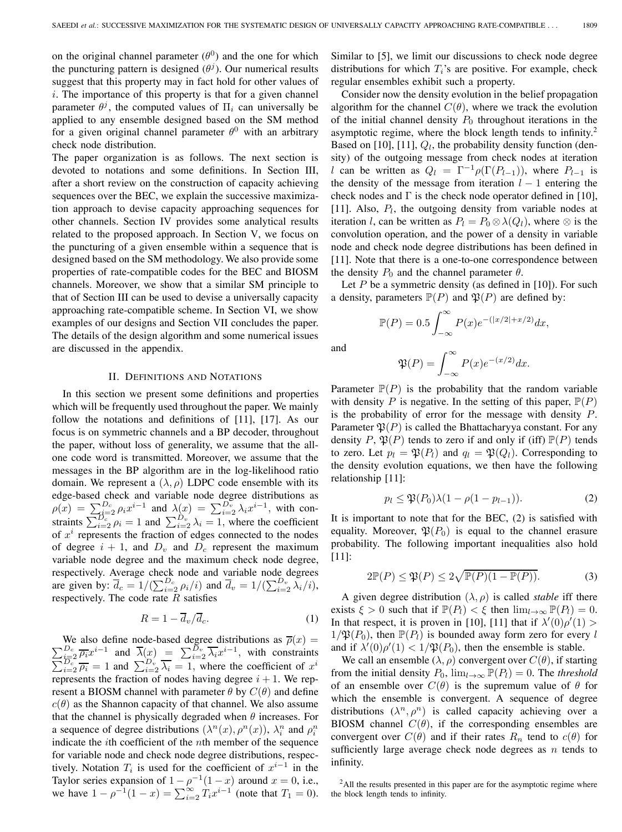on the original channel parameter  $(\theta^0)$  and the one for which the puncturing pattern is designed  $(\theta^j)$ . Our numerical results suggest that this property may in fact hold for other values of  $i$ . The importance of this property is that for a given channel parameter  $\theta^j$ , the computed values of  $\Pi_i$  can universally be applied to any ensemble designed based on the SM method for a given original channel parameter  $\theta^0$  with an arbitrary check node distribution.

The paper organization is as follows. The next section is devoted to notations and some definitions. In Section III, after a short review on the construction of capacity achieving sequences over the BEC, we explain the successive maximization approach to devise capacity approaching sequences for other channels. Section IV provides some analytical results related to the proposed approach. In Section V, we focus on the puncturing of a given ensemble within a sequence that is designed based on the SM methodology. We also provide some properties of rate-compatible codes for the BEC and BIOSM channels. Moreover, we show that a similar SM principle to that of Section III can be used to devise a universally capacity approaching rate-compatible scheme. In Section VI, we show examples of our designs and Section VII concludes the paper. The details of the design algorithm and some numerical issues are discussed in the appendix.

### II. DEFINITIONS AND NOTATIONS

In this section we present some definitions and properties which will be frequently used throughout the paper. We mainly follow the notations and definitions of [11], [17]. As our focus is on symmetric channels and a BP decoder, throughout the paper, without loss of generality, we assume that the allone code word is transmitted. Moreover, we assume that the messages in the BP algorithm are in the log-likelihood ratio domain. We represent a  $(\lambda, \rho)$  LDPC code ensemble with its edge-based check and variable node degree distributions as  $\rho(x) = \sum_{i=2}^{D_c} \rho_i x^{i-1}$  and  $\lambda(x) = \sum_{i=2}^{D_v} \lambda_i x^{i-1}$ , with constraints  $\sum_{i=2}^{D_c} \rho_i = 1$  and  $\sum_{i=2}^{D_v} \lambda_i = 1$ , where the coefficient of  $x<sup>i</sup>$  represents the fraction of edges connected to the nodes of degree  $i + 1$ , and  $D_v$  and  $D_c$  represent the maximum variable node degree and the maximum check node degree, respectively. Average check node and variable node degrees are given by:  $\overline{d}_c = 1/(\sum_{i=2}^{D_c} \rho_i/i)$  and  $\overline{d}_v = 1/(\sum_{i=2}^{D_v} \lambda_i/i)$ , respectively. The code rate  $R$  satisfies

$$
R = 1 - \overline{d}_v / \overline{d}_c. \tag{1}
$$

We also define node-based degree distributions as  $\overline{\rho}(x) = \sum_{i=2}^{D_c} \overline{\rho_i} x^{i-1}$  and  $\overline{\lambda}(x) = \sum_{i=2}^{D_v} \overline{\lambda_i} x^{i-1}$ , with constraints  $\sum_{i=2}^{D_c} \overline{\rho_i} = 1$  and  $\sum_{i=2}^{D_v} \overline{\lambda_i} = 1$ , where the coefficient of  $x^i$ represents the fraction of nodes having degree  $i + 1$ . We represent a BIOSM channel with parameter  $\theta$  by  $C(\theta)$  and define  $c(\theta)$  as the Shannon capacity of that channel. We also assume that the channel is physically degraded when  $\theta$  increases. For a sequence of degree distributions  $(\lambda^n(x), \rho^n(x))$ ,  $\lambda_i^n$  and  $\rho_i^n$ indicate the  $i$ th coefficient of the  $n$ th member of the sequence for variable node and check node degree distributions, respectively. Notation  $T_i$  is used for the coefficient of  $x^{i-1}$  in the Taylor series expansion of  $1 - \rho^{-1}(1 - x)$  around  $x = 0$ , i.e., we have  $1 - \rho^{-1}(1 - x) = \sum_{i=2}^{\infty} T_i x^{i-1}$  (note that  $T_1 = 0$ ).

Similar to [5], we limit our discussions to check node degree distributions for which  $T_i$ 's are positive. For example, check regular ensembles exhibit such a property.

Consider now the density evolution in the belief propagation algorithm for the channel  $C(\theta)$ , where we track the evolution of the initial channel density  $P_0$  throughout iterations in the asymptotic regime, where the block length tends to infinity.<sup>2</sup> Based on [10], [11],  $Q_l$ , the probability density function (density) of the outgoing message from check nodes at iteration l can be written as  $Q_l = \Gamma^{-1} \rho(\Gamma(P_{l-1}))$ , where  $P_{l-1}$  is the density of the message from iteration  $l - 1$  entering the check nodes and  $\Gamma$  is the check node operator defined in [10], [11]. Also,  $P_l$ , the outgoing density from variable nodes at iteration *l*, can be written as  $P_l = P_0 \otimes \lambda(Q_l)$ , where  $\otimes$  is the convolution operation, and the power of a density in variable node and check node degree distributions has been defined in [11]. Note that there is a one-to-one correspondence between the density  $P_0$  and the channel parameter  $\theta$ .

Let  $P$  be a symmetric density (as defined in [10]). For such a density, parameters  $\mathbb{P}(P)$  and  $\mathfrak{P}(P)$  are defined by:

$$
\mathbb{P}(P) = 0.5 \int_{-\infty}^{\infty} P(x) e^{-(|x/2|+x/2)} dx,
$$

and

$$
\mathfrak{P}(P) = \int_{-\infty}^{\infty} P(x)e^{-(x/2)}dx.
$$

Parameter  $\mathbb{P}(P)$  is the probability that the random variable with density P is negative. In the setting of this paper,  $\mathbb{P}(P)$ is the probability of error for the message with density  $P$ . Parameter  $\mathfrak{P}(P)$  is called the Bhattacharyya constant. For any density P,  $\mathfrak{P}(P)$  tends to zero if and only if (iff)  $\mathbb{P}(P)$  tends to zero. Let  $p_l = \mathfrak{P}(P_l)$  and  $q_l = \mathfrak{P}(Q_l)$ . Corresponding to the density evolution equations, we then have the following relationship [11]:

$$
p_l \le \mathfrak{P}(P_0)\lambda(1 - \rho(1 - p_{l-1})).\tag{2}
$$

It is important to note that for the BEC, (2) is satisfied with equality. Moreover,  $\mathfrak{P}(P_0)$  is equal to the channel erasure probability. The following important inequalities also hold [11]:

$$
2\mathbb{P}(P) \le \mathfrak{P}(P) \le 2\sqrt{\mathbb{P}(P)(1 - \mathbb{P}(P))}.
$$
 (3)

A given degree distribution  $(\lambda, \rho)$  is called *stable* iff there exists  $\xi > 0$  such that if  $\mathbb{P}(P_l) < \xi$  then  $\lim_{l \to \infty} \mathbb{P}(P_l) = 0$ . In that respect, it is proven in [10], [11] that if  $\lambda'(0)\rho'(1)$  $1/\mathfrak{P}(P_0)$ , then  $\mathbb{P}(P_l)$  is bounded away form zero for every l and if  $\lambda'(0)\rho'(1) < 1/\mathfrak{P}(P_0)$ , then the ensemble is stable.

We call an ensemble  $(\lambda, \rho)$  convergent over  $C(\theta)$ , if starting from the initial density  $P_0$ ,  $\lim_{l\to\infty} \mathbb{P}(P_l)=0$ . The *threshold* of an ensemble over  $C(\theta)$  is the supremum value of  $\theta$  for which the ensemble is convergent. A sequence of degree distributions  $(\lambda^n, \rho^n)$  is called capacity achieving over a BIOSM channel  $C(\theta)$ , if the corresponding ensembles are convergent over  $C(\theta)$  and if their rates  $R_n$  tend to  $c(\theta)$  for sufficiently large average check node degrees as  $n$  tends to infinity.

<sup>&</sup>lt;sup>2</sup>All the results presented in this paper are for the asymptotic regime where the block length tends to infinity.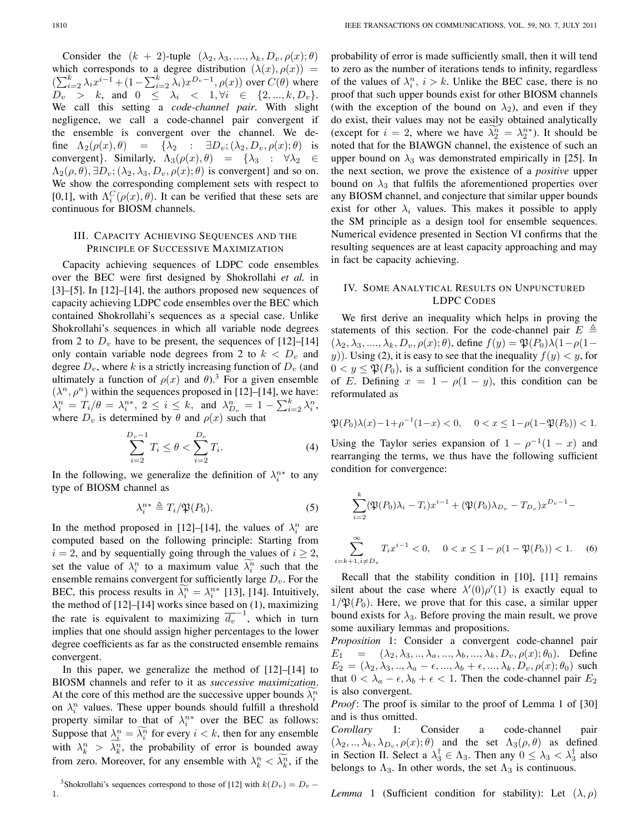Consider the  $(k + 2)$ -tuple  $(\lambda_2, \lambda_3, ..., \lambda_k, D_v, \rho(x); \theta)$ which corresponds to a degree distribution  $(\lambda(x), \rho(x)) =$  $\left(\sum_{i=2}^k \lambda_i x^{i-1} + (1 - \sum_{i=2}^k \lambda_i) x^{D_v - 1}, \rho(x)\right)$  over  $C(\theta)$  where  $D_v > k$ , and  $0 \leq \lambda_i < 1, \forall i \in \{2, ..., k, D_v\}.$ We call this setting a *code-channel pair*. With slight negligence, we call a code-channel pair convergent if the ensemble is convergent over the channel. We define  $\Lambda_2(\rho(x), \theta) = {\lambda_2 : \exists D_v; (\lambda_2, D_v, \rho(x); \theta)}$  is convergent}. Similarly,  $\Lambda_3(\rho(x), \theta) = {\lambda_3 : \forall \lambda_2 \in \Theta}$  $\Lambda_2(\rho, \theta), \exists D_v; (\lambda_2, \lambda_3, D_v, \rho(x); \theta)$  is convergent} and so on. We show the corresponding complement sets with respect to [0,1], with  $\Lambda_i^C(\rho(x), \theta)$ . It can be verified that these sets are continuous for BIOSM channels.

# III. CAPACITY ACHIEVING SEQUENCES AND THE PRINCIPLE OF SUCCESSIVE MAXIMIZATION

Capacity achieving sequences of LDPC code ensembles over the BEC were first designed by Shokrollahi *et al.* in [3]–[5]. In [12]–[14], the authors proposed new sequences of capacity achieving LDPC code ensembles over the BEC which contained Shokrollahi's sequences as a special case. Unlike Shokrollahi's sequences in which all variable node degrees from 2 to  $D_v$  have to be present, the sequences of [12]–[14] only contain variable node degrees from 2 to  $k < D<sub>v</sub>$  and degree  $D_v$ , where k is a strictly increasing function of  $D_v$  (and ultimately a function of  $\rho(x)$  and  $\theta$ ).<sup>3</sup> For a given ensemble  $(\lambda^n, \rho^n)$  within the sequences proposed in [12]–[14], we have:  $\lambda_i^n = T_i/\theta = \lambda_i^{n*}, 2 \leq i \leq k$ , and  $\lambda_{D_v}^n = 1 - \sum_{i=2}^k \lambda_i^n$ , where  $D_v$  is determined by  $\theta$  and  $\rho(x)$  such that

$$
\sum_{i=2}^{D_v - 1} T_i \le \theta < \sum_{i=2}^{D_v} T_i. \tag{4}
$$

In the following, we generalize the definition of  $\lambda_i^{n*}$  to any type of BIOSM channel as

$$
\lambda_i^{n*} \triangleq T_i/\mathfrak{P}(P_0). \tag{5}
$$

In the method proposed in [12]–[14], the values of  $\lambda_i^n$  are computed based on the following principle: Starting from  $i = 2$ , and by sequentially going through the values of  $i \geq 2$ , set the value of  $\lambda_i^n$  to a maximum value  $\lambda_i^n$  such that the ensemble remains convergent for sufficiently large  $D_v$ . For the BEC, this process results in  $\lambda_i^n = \lambda_i^{n*}$  [13], [14]. Intuitively, the method of [12]–[14] works since based on (1), maximizing the rate is equivalent to maximizing  $\overline{d_v}^{-1}$ , which in turn implies that one should assign higher percentages to the lower degree coefficients as far as the constructed ensemble remains convergent.

In this paper, we generalize the method of [12]–[14] to BIOSM channels and refer to it as *successive maximization*. At the core of this method are the successive upper bounds  $\lambda_i^n$ on  $\lambda_i^n$  values. These upper bounds should fulfill a threshold property similar to that of  $\lambda_i^{n*}$  over the BEC as follows: Suppose that  $\lambda_i^n = \lambda_i^n$  for every  $i < k$ , then for any ensemble with  $\lambda_k^n > \lambda_k^n$ , the probability of error is bounded away from zero. Moreover, for any ensemble with  $\lambda_k^n < \lambda_k^n$ , if the

probability of error is made sufficiently small, then it will tend to zero as the number of iterations tends to infinity, regardless of the values of  $\lambda_i^n$ ,  $i > k$ . Unlike the BEC case, there is no proof that such upper bounds exist for other BIOSM channels (with the exception of the bound on  $\lambda_2$ ), and even if they do exist, their values may not be easily obtained analytically (except for  $i = 2$ , where we have  $\lambda_2^n = \lambda_2^{n*}$ ). It should be noted that for the BIAWGN channel, the existence of such an upper bound on  $\lambda_3$  was demonstrated empirically in [25]. In the next section, we prove the existence of a *positive* upper bound on  $\lambda_3$  that fulfils the aforementioned properties over any BIOSM channel, and conjecture that similar upper bounds exist for other  $\lambda_i$  values. This makes it possible to apply the SM principle as a design tool for ensemble sequences. Numerical evidence presented in Section VI confirms that the resulting sequences are at least capacity approaching and may in fact be capacity achieving.

# IV. SOME ANALYTICAL RESULTS ON UNPUNCTURED LDPC CODES

We first derive an inequality which helps in proving the statements of this section. For the code-channel pair  $E \triangleq$  $(\lambda_2, \lambda_3, \ldots, \lambda_k, D_v, \rho(x); \theta)$ , define  $f(y) = \mathfrak{P}(P_0)\lambda(1-\rho(1-\theta))$ y)). Using (2), it is easy to see that the inequality  $f(y) < y$ , for  $0 < y \leq \mathfrak{P}(P_0)$ , is a sufficient condition for the convergence of E. Defining  $x = 1 - \rho(1 - y)$ , this condition can be reformulated as

$$
\mathfrak{P}(P_0)\lambda(x) - 1 + \rho^{-1}(1-x) < 0, \quad 0 < x \le 1 - \rho(1 - \mathfrak{P}(P_0)) < 1.
$$

Using the Taylor series expansion of  $1 - \rho^{-1}(1 - x)$  and rearranging the terms, we thus have the following sufficient condition for convergence:

$$
\sum_{i=2}^{k} (\mathfrak{P}(P_0)\lambda_i - T_i)x^{i-1} + (\mathfrak{P}(P_0)\lambda_{D_v} - T_{D_v})x^{D_v - 1} -
$$
  

$$
\sum_{i=k+1, i \neq D_v}^{\infty} T_i x^{i-1} < 0, \quad 0 < x \leq 1 - \rho(1 - \mathfrak{P}(P_0)) < 1. \tag{6}
$$

Recall that the stability condition in [10], [11] remains silent about the case where  $\lambda'(0)\rho'(1)$  is exactly equal to  $1/\mathfrak{P}(P_0)$ . Here, we prove that for this case, a similar upper bound exists for  $\lambda_3$ . Before proving the main result, we prove some auxiliary lemmas and propositions.

*Proposition* 1: Consider a convergent code-channel pair  $E_1 = (\lambda_2, \lambda_3, \ldots, \lambda_a, \ldots, \lambda_b, \ldots, \lambda_k, D_v, \rho(x); \theta_0)$ . Define  $E_2 = (\lambda_2, \lambda_3, \ldots, \lambda_a - \epsilon, \ldots, \lambda_b + \epsilon, \ldots, \lambda_k, D_v, \rho(x); \theta_0)$  such that  $0 < \lambda_a - \epsilon, \lambda_b + \epsilon < 1$ . Then the code-channel pair  $E_2$ is also convergent.

*Proof*: The proof is similar to the proof of Lemma 1 of [30] and is thus omitted.

*Corollary* 1: Consider a code-channel pair  $(\lambda_2, ..., \lambda_k, \lambda_{D_v}, \rho(x); \theta)$  and the set  $\Lambda_3(\rho, \theta)$  as defined in Section II. Select a  $\lambda_3^{\dagger} \in \Lambda_3$ . Then any  $0 \leq \lambda_3 < \lambda_3^{\dagger}$  also belongs to  $\Lambda_3$ . In other words, the set  $\Lambda_3$  is continuous.

*Lemma* 1 (Sufficient condition for stability): Let  $(\lambda, \rho)$ 

<sup>&</sup>lt;sup>3</sup>Shokrollahi's sequences correspond to those of [12] with  $k(D_v) = D_v$  – 1.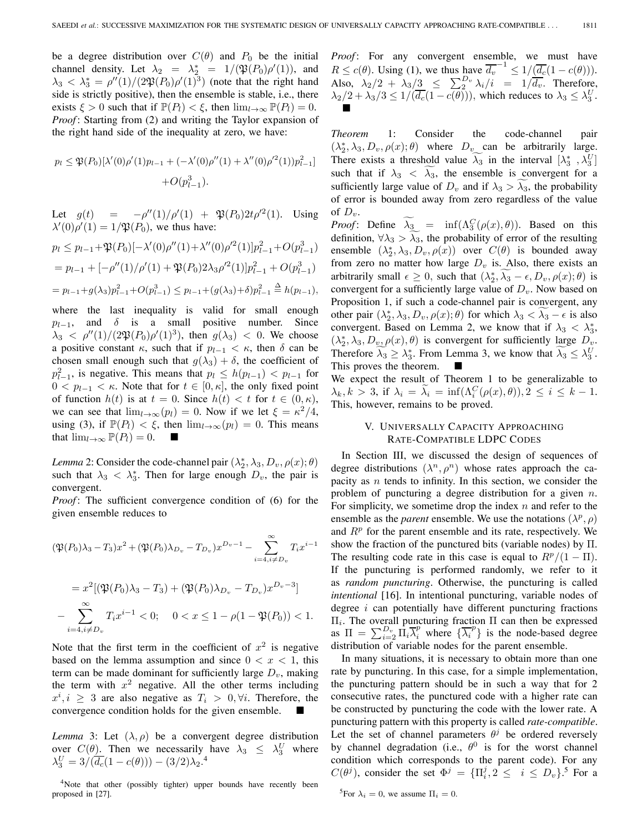be a degree distribution over  $C(\theta)$  and  $P_0$  be the initial channel density. Let  $\lambda_2 = \lambda_2^* = 1/(\mathfrak{P}(P_0)\rho'(1))$ , and  $\lambda_3 < \lambda_3^* = \rho''(1)/(2\mathfrak{P}(P_0)\rho'(1)^3)$  (note that the right hand side is strictly positive), then the ensemble is stable, i.e., there exists  $\xi > 0$  such that if  $\mathbb{P}(P_l) < \xi$ , then  $\lim_{l \to \infty} \mathbb{P}(P_l) = 0$ . *Proof* : Starting from (2) and writing the Taylor expansion of the right hand side of the inequality at zero, we have:

$$
p_l \leq \mathfrak{P}(P_0)[\lambda'(0)\rho'(1)p_{l-1} + (-\lambda'(0)\rho''(1) + \lambda''(0)\rho'^2(1))p_{l-1}^2] + O(p_{l-1}^3).
$$

Let  $g(t) = -\rho''(1)/\rho'(1) + \mathfrak{P}(P_0)2t\rho'^2(1)$ . Using  $\lambda'(0)\rho'(1) = 1/\mathfrak{P}(P_0)$ , we thus have:

$$
p_l \le p_{l-1} + \mathfrak{P}(P_0)[-\lambda'(0)\rho''(1) + \lambda''(0)\rho'^2(1)]p_{l-1}^2 + O(p_{l-1}^3)
$$
  
=  $p_{l-1} + [-\rho''(1)/\rho'(1) + \mathfrak{P}(P_0)2\lambda_3\rho'^2(1)]p_{l-1}^2 + O(p_{l-1}^3)$   
=  $p_{l-1} + g(\lambda_3)p_{l-1}^2 + O(p_{l-1}^3) \le p_{l-1} + (g(\lambda_3) + \delta)p_{l-1}^2 \triangleq h(p_{l-1}),$ 

where the last inequality is valid for small enough  $p_{l-1}$ , and  $\delta$  is a small positive number. Since  $\lambda_3 < \rho''(1)/(2\mathfrak{P}(P_0)\rho'(1)^3)$ , then  $g(\lambda_3) < 0$ . We choose a positive constant  $\kappa$ , such that if  $p_{l-1} < \kappa$ , then  $\delta$  can be chosen small enough such that  $g(\lambda_3) + \delta$ , the coefficient of  $p_{l-1}^2$ , is negative. This means that  $p_l \leq h(p_{l-1}) < p_{l-1}$  for  $0 < p_{l-1} < \kappa$ . Note that for  $t \in [0, \kappa]$ , the only fixed point of function  $h(t)$  is at  $t = 0$ . Since  $h(t) < t$  for  $t \in (0, \kappa)$ , we can see that  $\lim_{l\to\infty}(p_l)=0$ . Now if we let  $\xi = \kappa^2/4$ , using (3), if  $\mathbb{P}(P_l) < \xi$ , then  $\lim_{l \to \infty} (p_l) = 0$ . This means that  $\lim_{l\to\infty} \mathbb{P}(P_l)=0$ .

*Lemma* 2: Consider the code-channel pair  $(\lambda_2^*, \lambda_3, D_v, \rho(x); \theta)$ such that  $\lambda_3 < \lambda_3^*$ . Then for large enough  $D_v$ , the pair is convergent.

*Proof*: The sufficient convergence condition of (6) for the given ensemble reduces to

$$
(\mathfrak{P}(P_0)\lambda_3 - T_3)x^2 + (\mathfrak{P}(P_0)\lambda_{D_v} - T_{D_v})x^{D_v - 1} - \sum_{i=4, i \neq D_v}^{\infty} T_i x^{i-1}
$$
  
=  $x^2 [(\mathfrak{P}(P_0)\lambda_3 - T_3) + (\mathfrak{P}(P_0)\lambda_{D_v} - T_{D_v})x^{D_v - 3}]$   
-  $\sum_{i=4, i \neq D_v}^{\infty} T_i x^{i-1} < 0; \quad 0 < x \leq 1 - \rho(1 - \mathfrak{P}(P_0)) < 1.$ 

Note that the first term in the coefficient of  $x^2$  is negative based on the lemma assumption and since  $0 < x < 1$ , this term can be made dominant for sufficiently large  $D<sub>v</sub>$ , making the term with  $x^2$  negative. All the other terms including  $x^i, i \geq 3$  are also negative as  $T_i > 0, \forall i$ . Therefore, the convergence condition holds for the given ensemble.

*Lemma* 3: Let  $(\lambda, \rho)$  be a convergent degree distribution over  $C(\theta)$ . Then we necessarily have  $\lambda_3 \leq \lambda_3^U$  where  $\lambda_3^U = 3/(\overline{d_c}(1-c(\theta)))- (3/2)\lambda_2$ <sup>4</sup>

<sup>4</sup>Note that other (possibly tighter) upper bounds have recently been proposed in [27].

Proof: For any convergent ensemble, we must have  $R \leq c(\theta)$ . Using (1), we thus have  $\overline{d_v}^{-1} \leq 1/(\overline{d_c}(1-c(\theta)))$ . Also,  $\lambda_2/2 + \lambda_3/3 \leq \sum_2^{D_v} \lambda_i/i = 1/\overline{d_v}$ . Therefore,  $\lambda_2/2 + \lambda_3/3 \leq 1/(\overline{d_c}(1-c(\theta))),$  which reduces to  $\lambda_3 \leq \lambda_3^U$ . ■

*Theorem* 1: Consider the code-channel pair  $(\lambda_2^*, \lambda_3, D_v, \rho(x); \theta)$  where  $D_v$  can be arbitrarily large. There exists a threshold value  $\lambda_3$  in the interval  $[\lambda_3^*, \lambda_3^U]$ such that if  $\lambda_3 < \lambda_3$ , the ensemble is convergent for a sufficiently large value of  $D_v$  and if  $\lambda_3 > \lambda_3$ , the probability of error is bounded away from zero regardless of the value of  $D_v$ .

*Proof*: Define  $\lambda_3$  =  $\inf(\Lambda_3^C(\rho(x), \theta))$ . Based on this definition,  $\forall \lambda_3 > \lambda_3$ , the probability of error of the resulting ensemble  $(\lambda_2^*, \lambda_3, D_v, \rho(x))$  over  $C(\theta)$  is bounded away from zero no matter how large  $D_v$  is. Also, there exists an arbitrarily small  $\epsilon \geq 0$ , such that  $(\lambda_2^*, \lambda_3 - \epsilon, D_v, \rho(x); \theta)$  is convergent for a sufficiently large value of  $D_v$ . Now based on Proposition 1, if such a code-channel pair is convergent, any other pair  $(\lambda_2^*, \lambda_3, D_v, \rho(x); \theta)$  for which  $\lambda_3 < \lambda_3 - \epsilon$  is also convergent. Based on Lemma 2, we know that if  $\lambda_3 < \lambda_3^*$ ,  $(\lambda_2^*, \lambda_3, D_{\nu}, \rho(x), \theta)$  is convergent for sufficiently large  $D_{\nu}$ . Therefore  $\lambda_3 \geq \lambda_3^*$ . From Lemma 3, we know that  $\lambda_3 \leq \lambda_3^U$ . This proves the theorem. ■

We expect the result of Theorem 1 to be generalizable to  $\lambda_k, k > 3$ , if  $\lambda_i = \lambda_i = \inf(\Lambda_i^C(\rho(x), \theta)), 2 \le i \le k - 1$ . This, however, remains to be proved.

# V. UNIVERSALLY CAPACITY APPROACHING RATE-COMPATIBLE LDPC CODES

In Section III, we discussed the design of sequences of degree distributions  $(\lambda^n, \rho^n)$  whose rates approach the capacity as  $n$  tends to infinity. In this section, we consider the problem of puncturing a degree distribution for a given  $n$ . For simplicity, we sometime drop the index  $n$  and refer to the ensemble as the *parent* ensemble. We use the notations  $(\lambda^p, \rho)$ and  $R<sup>p</sup>$  for the parent ensemble and its rate, respectively. We show the fraction of the punctured bits (variable nodes) by  $\Pi$ . The resulting code rate in this case is equal to  $R^p/(1 - \Pi)$ . If the puncturing is performed randomly, we refer to it as *random puncturing*. Otherwise, the puncturing is called *intentional* [16]. In intentional puncturing, variable nodes of degree  $i$  can potentially have different puncturing fractions  $\Pi_i$ . The overall puncturing fraction Π can then be expressed as  $\Pi = \sum_{i=2}^{D_v} \Pi_i \overline{\lambda}_i^p$  where  $\{\overline{\lambda}_i^p\}$  is the node-based degree distribution of variable nodes for the parent ensemble.

In many situations, it is necessary to obtain more than one rate by puncturing. In this case, for a simple implementation, the puncturing pattern should be in such a way that for 2 consecutive rates, the punctured code with a higher rate can be constructed by puncturing the code with the lower rate. A puncturing pattern with this property is called *rate-compatible*. Let the set of channel parameters  $\theta^j$  be ordered reversely by channel degradation (i.e.,  $\theta^0$  is for the worst channel condition which corresponds to the parent code). For any  $C(\theta^j)$ , consider the set  $\Phi^j = {\Pi_i^j, 2 \leq i \leq D_v}$ .<sup>5</sup> For a

<sup>&</sup>lt;sup>5</sup>For  $\lambda_i = 0$ , we assume  $\Pi_i = 0$ .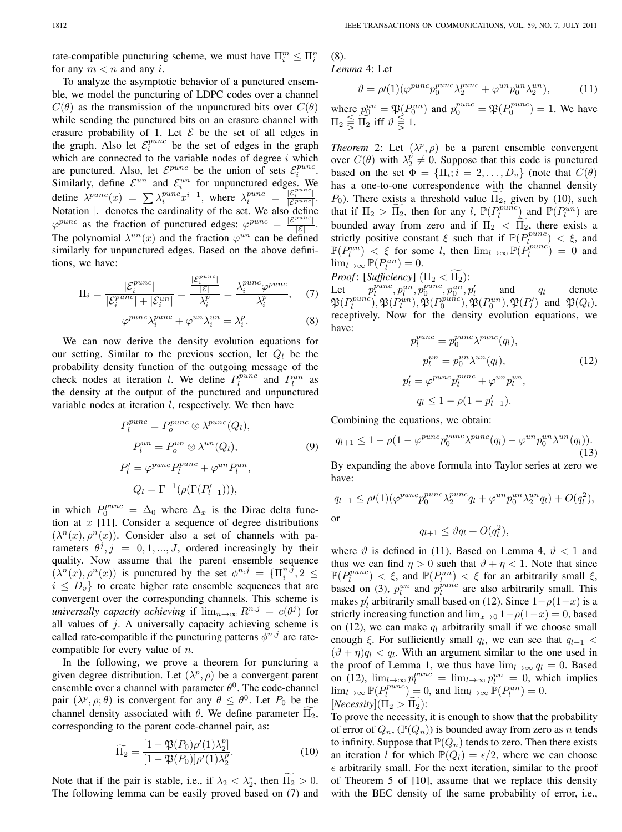rate-compatible puncturing scheme, we must have  $\Pi_i^m \leq \Pi_i^n$ for any  $m < n$  and any *i*.

To analyze the asymptotic behavior of a punctured ensemble, we model the puncturing of LDPC codes over a channel  $C(\theta)$  as the transmission of the unpunctured bits over  $C(\theta)$ while sending the punctured bits on an erasure channel with erasure probability of 1. Let  $\mathcal E$  be the set of all edges in the graph. Also let  $\mathcal{E}_i^{punc}$  be the set of edges in the graph which are connected to the variable nodes of degree  $i$  which are punctured. Also, let  $\mathcal{E}^{punc}$  be the union of sets  $\mathcal{E}^{punc}_{i}$ . Similarly, define  $\mathcal{E}^{un}$  and  $\mathcal{E}^{un}$  for unpunctured edges. We define  $\lambda^{punc}(x) = \sum_i \lambda_i^{punc} x^{i-1}$ , where  $\lambda_i^{punc} = \frac{|\mathcal{E}_i^{punc}|}{|\mathcal{E}^{punc}|}$ . Notation ∣.∣ denotes the cardinality of the set. We also define  $\varphi^{punc}$  as the fraction of punctured edges:  $\varphi^{punc} = \frac{|\mathcal{E}^{punc}|}{|\mathcal{E}|}$ . The polynomial  $\lambda^{un}(x)$  and the fraction  $\varphi^{un}$  can be defined similarly for unpunctured edges. Based on the above definitions, we have:

$$
\Pi_i = \frac{|\mathcal{E}_i^{punc}|}{|\mathcal{E}_i^{punc}| + |\mathcal{E}_i^{un}|} = \frac{\frac{|\mathcal{E}_i^{punc}|}{|\mathcal{E}|}}{\lambda_i^p} = \frac{\lambda_i^{punc}\varphi^{punc}}{\lambda_i^p}, \quad (7)
$$

$$
\varphi^{punc} \lambda_i^{punc} + \varphi^{un} \lambda_i^{un} = \lambda_i^p. \tag{8}
$$

We can now derive the density evolution equations for our setting. Similar to the previous section, let  $Q_l$  be the probability density function of the outgoing message of the check nodes at iteration *l*. We define  $P_l^{punc}$  and  $P_l^{un}$  as the density at the output of the punctured and unpunctured variable nodes at iteration  $l$ , respectively. We then have

$$
P_l^{punc} = P_o^{punc} \otimes \lambda^{punc}(Q_l),
$$
  
\n
$$
P_l^{un} = P_o^{un} \otimes \lambda^{un}(Q_l),
$$
  
\n
$$
P_l' = \varphi^{punc} P_l^{punc} + \varphi^{un} P_l^{un},
$$
  
\n
$$
Q_l = \Gamma^{-1}(\rho(\Gamma(P_{l-1}'))),
$$
  
\n(9)

in which  $P_0^{punc} = \Delta_0$  where  $\Delta_x$  is the Dirac delta function at  $x$  [11]. Consider a sequence of degree distributions  $(\lambda^{n}(x), \rho^{n}(x))$ . Consider also a set of channels with parameters  $\theta^j$ ,  $j = 0, 1, ..., J$ , ordered increasingly by their quality. Now assume that the parent ensemble sequence  $(\lambda^n(x), \rho^n(x))$  is punctured by the set  $\phi^{n,j} = {\Pi_i^{n,\bar{j}}}, 2 \leq$  $i \leq D_v$  to create higher rate ensemble sequences that are convergent over the corresponding channels. This scheme is *universally capacity achieving* if  $\lim_{n\to\infty} R^{n,j} = c(\theta^j)$  for all values of  $j$ . A universally capacity achieving scheme is called rate-compatible if the puncturing patterns  $\phi^{n,j}$  are ratecompatible for every value of  $n$ .

In the following, we prove a theorem for puncturing a given degree distribution. Let  $(\lambda^p, \rho)$  be a convergent parent ensemble over a channel with parameter  $\theta^0$ . The code-channel pair  $(\lambda^p, \rho; \theta)$  is convergent for any  $\theta \leq \theta^0$ . Let  $P_0$  be the channel density associated with  $\theta$ . We define parameter  $\Pi_2$ , corresponding to the parent code-channel pair, as:

$$
\widetilde{\Pi_2} = \frac{\left[1 - \mathfrak{P}(P_0)\rho'(1)\lambda_2^p\right]}{\left[1 - \mathfrak{P}(P_0)\right]\rho'(1)\lambda_2^p}.\tag{10}
$$

Note that if the pair is stable, i.e., if  $\lambda_2 < \lambda_2^*$ , then  $\Pi_2 > 0$ . The following lemma can be easily proved based on (7) and (8). *Lemma* 4: Let

$$
\vartheta = \rho(1)(\varphi^{punc}p_0^{punc}\lambda_2^{punc} + \varphi^{un}p_0^{un}\lambda_2^{un}),\tag{11}
$$

where  $p_0^{un} = \mathfrak{P}(P_0^{un})$  and  $p_0^{punc} = \mathfrak{P}(P_0^{punc}) = 1$ . We have  $\Pi_2 \equivq \prod_2$  iff  $\vartheta \equivq 1$ .

*Theorem* 2: Let  $(\lambda^p, \rho)$  be a parent ensemble convergent over  $C(\theta)$  with  $\lambda_2^p \neq 0$ . Suppose that this code is punctured based on the set  $\Phi = {\Pi_i; i = 2, ..., D_v}$  (note that  $C(\theta)$ ) has a one-to-one correspondence with the channel density  $P_0$ ). There exists a threshold value  $\Pi_2$ , given by (10), such that if  $\Pi_2 > \widetilde{\Pi_2}$ , then for any l,  $\mathbb{P}(P_l^{punc})$  and  $\mathbb{P}(P_l^{un})$  are bounded away from zero and if  $\Pi_2 < \Pi_2$ , there exists a strictly positive constant  $\xi$  such that if  $\mathbb{P}(P_l^{punc}) < \xi$ , and  $\mathbb{P}(P_l^{un}) < \xi$  for some l, then  $\lim_{l \to \infty} \mathbb{P}(P_l^{punc}) = 0$  and  $\lim_{l\to\infty} \mathbb{P}(P_l^{un})=0.$ 

*Proof*: [*Sufficiency*]  $(\Pi_2 < \Pi_2)$ :

Let  $p_l^{punc}, p_l^{un}, p_0^{punc}, p_0^{un}, p_l'$  and  $q_l$  denote  $\mathfrak{P}(P_l^{punc}), \mathfrak{P}(P_l^{un}), \mathfrak{P}(P_0^{punc}), \mathfrak{P}(P_0^{un}), \mathfrak{P}(P_l')$  and  $\mathfrak{P}(Q_l)$ , receptively. Now for the density evolution equations, we have:  $minc$ 

$$
p_l^{punc} = p_0^{punc} \lambda^{punc}(q_l),
$$
  
\n
$$
p_l^{un} = p_0^{un} \lambda^{un}(q_l),
$$
  
\n
$$
p_l' = \varphi^{punc} p_l^{punc} + \varphi^{un} p_l^{un},
$$
  
\n
$$
q_l \le 1 - \rho(1 - p_{l-1}').
$$
\n(12)

Combining the equations, we obtain:

$$
q_{l+1} \le 1 - \rho (1 - \varphi^{punc} p_0^{punc} \lambda^{punc} (q_l) - \varphi^{un} p_0^{un} \lambda^{un} (q_l)).
$$
\n(13)

By expanding the above formula into Taylor series at zero we have:

$$
q_{l+1} \le \rho'(1)(\varphi^{punc}p_0^{punc}\lambda_2^{punc}q_l + \varphi^{un}p_0^{un}\lambda_2^{un}q_l) + O(q_l^2),
$$
 or

$$
q_{l+1} \leq \vartheta q_l + O(q_l^2),
$$

where  $\vartheta$  is defined in (11). Based on Lemma 4,  $\vartheta$  < 1 and thus we can find  $\eta > 0$  such that  $\vartheta + \eta < 1$ . Note that since  $\mathbb{P}(P_l^{punc}) < \xi$ , and  $\mathbb{P}(P_l^{un}) < \xi$  for an arbitrarily small  $\xi$ , based on (3),  $p_l^{un}$  and  $p_l^{punc}$  are also arbitrarily small. This makes  $p'_l$  arbitrarily small based on (12). Since  $1-\rho(1-x)$  is a strictly increasing function and  $\lim_{x\to 0} 1-\rho(1-x)=0$ , based on (12), we can make  $q_l$  arbitrarily small if we choose small enough  $\xi$ . For sufficiently small  $q_l$ , we can see that  $q_{l+1}$  <  $(\vartheta + \eta)q_l < q_l$ . With an argument similar to the one used in the proof of Lemma 1, we thus have  $\lim_{l\to\infty} q_l = 0$ . Based on (12),  $\lim_{l\to\infty} p_l^{punc} = \lim_{l\to\infty} p_l^{un} = 0$ , which implies  $\lim_{l\to\infty} \mathbb{P}(P_l^{punc}) = 0$ , and  $\lim_{l\to\infty} \mathbb{P}(P_l^{un}) = 0$ .  $[Necessity]$  $(\Pi_2 > \Pi_2)$ :

To prove the necessity, it is enough to show that the probability of error of  $Q_n$ , ( $\mathbb{P}(Q_n)$ ) is bounded away from zero as n tends to infinity. Suppose that  $\mathbb{P}(Q_n)$  tends to zero. Then there exists an iteration *l* for which  $\mathbb{P}(Q_l) = \epsilon/2$ , where we can choose  $\epsilon$  arbitrarily small. For the next iteration, similar to the proof of Theorem 5 of [10], assume that we replace this density with the BEC density of the same probability of error, i.e.,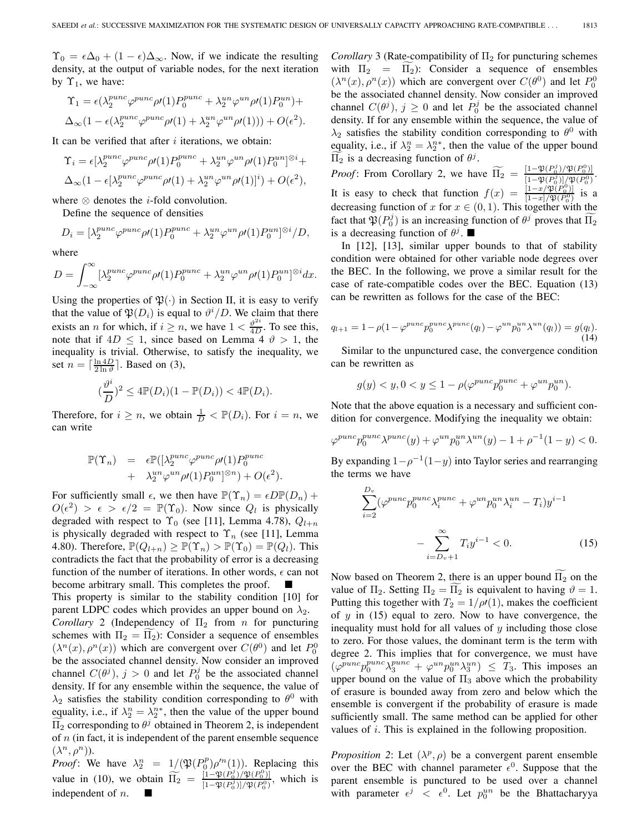$\Upsilon_0 = \epsilon \Delta_0 + (1 - \epsilon) \Delta_{\infty}$ . Now, if we indicate the resulting density, at the output of variable nodes, for the next iteration by  $\Upsilon_1$ , we have:

$$
\begin{aligned} \Upsilon_1 &= \epsilon(\lambda_2^{punc}\varphi^{punc}\rho\prime(1)P_0^{punc} + \lambda_2^{un}\varphi^{un}\rho\prime(1)P_0^{un}) + \\ \Delta_{\infty}(1 - \epsilon(\lambda_2^{punc}\varphi^{punc}\rho\prime(1) + \lambda_2^{un}\varphi^{un}\rho\prime(1))) + O(\epsilon^2). \end{aligned}
$$

It can be verified that after  $i$  iterations, we obtain:

$$
\begin{aligned} \Upsilon_i &= \epsilon [\lambda_2^{punc} \varphi^{punc} \rho \prime(1) P_0^{punc} + \lambda_2^{un} \varphi^{un} \rho \prime(1) P_0^{un}]^{\otimes i} + \\ \Delta_\infty (1 - \epsilon [\lambda_2^{punc} \varphi^{punc} \rho \prime(1) + \lambda_2^{un} \varphi^{un} \rho \prime(1)]^i) + O(\epsilon^2), \end{aligned}
$$

where  $\otimes$  denotes the *i*-fold convolution.

Define the sequence of densities

$$
D_i = [\lambda_2^{punc}\varphi^{punc}\rho\prime(1)P_0^{punc} + \lambda_2^{un}\varphi^{un}\rho\prime(1)P_0^{un}]^{\otimes i}/D,
$$

where

$$
D = \int_{-\infty}^{\infty} [\lambda_2^{punc} \varphi^{punc} \rho \prime(1) P_0^{punc} + \lambda_2^{un} \varphi^{un} \rho \prime(1) P_0^{un}]^{\otimes i} dx.
$$

Using the properties of  $\mathfrak{P}(\cdot)$  in Section II, it is easy to verify that the value of  $\mathfrak{P}(D_i)$  is equal to  $\vartheta^i/D$ . We claim that there exists an *n* for which, if  $i \ge n$ , we have  $1 < \frac{\vartheta^{2i}}{4D}$ . To see this, note that if  $4D \leq 1$ , since based on Lemma 4  $\vartheta > 1$ , the inequality is trivial. Otherwise, to satisfy the inequality, we set  $n = \lceil \frac{\ln 4D}{2 \ln \vartheta} \rceil$ . Based on (3),

$$
(\frac{\vartheta^i}{D})^2 \le 4\mathbb{P}(D_i)(1 - \mathbb{P}(D_i)) < 4\mathbb{P}(D_i).
$$

Therefore, for  $i \geq n$ , we obtain  $\frac{1}{D} < \mathbb{P}(D_i)$ . For  $i = n$ , we can write

$$
\mathbb{P}(\Upsilon_n) = \epsilon \mathbb{P}([\lambda_2^{punc} \varphi^{punc} \rho \prime(1) P_0^{punc} + \lambda_2^{un} \varphi^{un} \rho \prime(1) P_0^{un} \rvert^{\otimes n}) + O(\epsilon^2).
$$

For sufficiently small  $\epsilon$ , we then have  $\mathbb{P}(\Upsilon_n) = \epsilon D \mathbb{P}(D_n) +$  $O(\epsilon^2) > \epsilon > \epsilon/2 = \mathbb{P}(\Upsilon_0)$ . Now since  $Q_l$  is physically degraded with respect to  $\Upsilon_0$  (see [11], Lemma 4.78),  $Q_{l+n}$ is physically degraded with respect to  $\Upsilon_n$  (see [11], Lemma 4.80). Therefore,  $\mathbb{P}(Q_{l+n}) \geq \mathbb{P}(\Upsilon_n) > \mathbb{P}(\Upsilon_0) = \mathbb{P}(Q_l)$ . This contradicts the fact that the probability of error is a decreasing function of the number of iterations. In other words,  $\epsilon$  can not become arbitrary small. This completes the proof.

This property is similar to the stability condition [10] for parent LDPC codes which provides an upper bound on  $\lambda_2$ . *Corollary* 2 (Independency of  $\Pi_2$  from *n* for puncturing schemes with  $\Pi_2 = \Pi_2$ ): Consider a sequence of ensembles  $(\lambda^n(x), \rho^n(x))$  which are convergent over  $C(\theta^0)$  and let  $P_0^0$ be the associated channel density. Now consider an improved channel  $C(\theta^j)$ ,  $j > 0$  and let  $P_0^j$  be the associated channel density. If for any ensemble within the sequence, the value of  $\lambda_2$  satisfies the stability condition corresponding to  $\theta^0$  with equality, i.e., if  $\lambda_2^n = \lambda_2^{n*}$ , then the value of the upper bound  $\Pi_2$  corresponding to  $\theta^j$  obtained in Theorem 2, is independent of  $n$  (in fact, it is independent of the parent ensemble sequence  $(\lambda^n, \rho^n)$ ).

*Proof*: We have  $\lambda_2^n = 1/(\mathfrak{P}(P_0^p)\rho'^n(1))$ . Replacing this value in (10), we obtain  $\hat{\Pi}_2 = \frac{[1 - \mathfrak{P}(P_0^2)/\mathfrak{P}(P_0^0)]}{[1 - \mathfrak{P}(P_0^2)]/\mathfrak{P}(P_0^0)}$  $\frac{[1-\mathfrak{P}(P_0^3)/\mathfrak{P}(P_0)]}{[1-\mathfrak{P}(P_0^j)]/\mathfrak{P}(P_0^0)},$  which is independent of  $n$ .

*Corollary* 3 (Rate-compatibility of  $\Pi_2$  for puncturing schemes with  $\Pi_2 = \Pi_2$ ): Consider a sequence of ensembles  $(\lambda^n(x), \rho^n(x))$  which are convergent over  $C(\theta^0)$  and let  $P_0^0$ be the associated channel density. Now consider an improved channel  $C(\theta^j), j \ge 0$  and let  $P_0^j$  be the associated channel density. If for any ensemble within the sequence, the value of  $\lambda_2$  satisfies the stability condition corresponding to  $\theta^0$  with equality, i.e., if  $\lambda_2^n = \lambda_2^{n*}$ , then the value of the upper bound  $\Pi_2$  is a decreasing function of  $\theta^j$ .

*Proof*: From Corollary 2, we have  $\widetilde{\Pi_2} = \frac{[1-\mathfrak{P}(P_0^j)/\mathfrak{P}(P_0^0)]}{[1-\mathfrak{P}(P_0^j)]/\mathfrak{P}(P_0^0)}$  $\frac{[1-\mathfrak{P}(F_0^j)]/\mathfrak{P}(F_0^j)]}{[1-\mathfrak{P}(P_0^j)]/\mathfrak{P}(P_0^0)}.$ It is easy to check that function  $f(x) = \frac{[1-x/\mathfrak{P}(P_0^0)]}{[1-x]/\mathfrak{P}(P_0^0)}$  is a decreasing function of  $x$  for  $x \in (0, 1)$ . This together with the fact that  $\mathfrak{P}(P_0^j)$  is an increasing function of  $\theta^j$  proves that  $\widetilde{\Pi_2}$ is a decreasing function of  $\theta^j$ .

In [12], [13], similar upper bounds to that of stability condition were obtained for other variable node degrees over the BEC. In the following, we prove a similar result for the case of rate-compatible codes over the BEC. Equation (13) can be rewritten as follows for the case of the BEC:

$$
q_{l+1} = 1 - \rho (1 - \varphi^{punc} p_0^{punc} \lambda^{punc}(q_l) - \varphi^{un} p_0^{un} \lambda^{un}(q_l)) = g(q_l). \tag{14}
$$

Similar to the unpunctured case, the convergence condition can be rewritten as

$$
g(y) < y, 0 < y \leq 1 - \rho(\varphi^{punc} p_0^{punc} + \varphi^{un} p_0^{un}).
$$

Note that the above equation is a necessary and sufficient condition for convergence. Modifying the inequality we obtain:

$$
\varphi^{punc}p_0^{punc}\lambda^{punc}(y) + \varphi^{un}p_0^{un}\lambda^{un}(y) - 1 + \rho^{-1}(1 - y) < 0.
$$
\nBy expanding  $1 - \rho^{-1}(1 - y)$  into Taylor series and rearranging

the terms we have  
\n
$$
\sum_{i=2}^{D_v} (\varphi^{punc} p_0^{punc} \lambda_i^{punc} + \varphi^{un} p_0^{un} \lambda_i^{un} - T_i) y^{i-1}
$$
\n
$$
- \sum_{i=D_v+1}^{\infty} T_i y^{i-1} < 0.
$$
\n(15)

Now based on Theorem 2, there is an upper bound  $\Pi_2$  on the value of  $\Pi_2$ . Setting  $\Pi_2 = \Pi_2$  is equivalent to having  $\vartheta = 1$ . Putting this together with  $T_2 = 1/\rho(1)$ , makes the coefficient of  $y$  in (15) equal to zero. Now to have convergence, the inequality must hold for all values of  $y$  including those close to zero. For those values, the dominant term is the term with degree 2. This implies that for convergence, we must have  $(\varphi^{punc}p_0^{punc}\lambda_3^{punc}+\varphi^{un}p_0^{un}\lambda_3^{un}) \leq T_3$ . This imposes an upper bound on the value of  $\Pi_3$  above which the probability of erasure is bounded away from zero and below which the ensemble is convergent if the probability of erasure is made sufficiently small. The same method can be applied for other values of  $i$ . This is explained in the following proposition.

*Proposition 2*: Let  $(\lambda^p, \rho)$  be a convergent parent ensemble over the BEC with channel parameter  $\epsilon^0$ . Suppose that the parent ensemble is punctured to be used over a channel with parameter  $\epsilon^j \leq \epsilon^0$ . Let  $p_0^{un}$  be the Bhattacharyya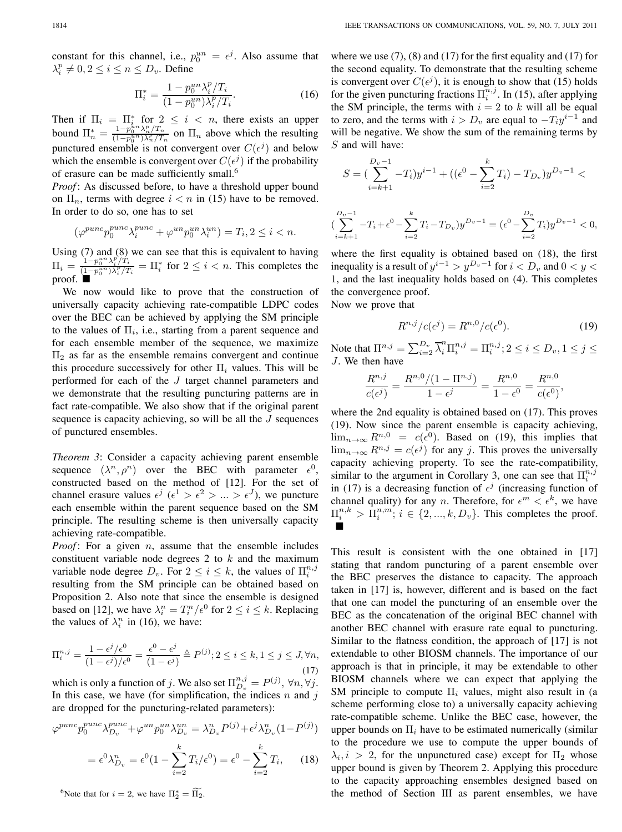constant for this channel, i.e.,  $p_0^{un} = \epsilon^j$ . Also assume that  $\lambda_i^p \neq 0, 2 \leq i \leq n \leq D_v$ . Define

$$
\Pi_i^* = \frac{1 - p_0^{un} \lambda_i^p / T_i}{(1 - p_0^{un}) \lambda_i^p / T_i}.
$$
\n(16)

Then if  $\Pi_i = \Pi_{i,n}^*$  for  $2 \leq i \leq n$ , there exists an upper bound  $\Pi_n^* = \frac{1 - p_0^{kn} \lambda_n^p / T_n}{(1 - p_0^{nn}) \lambda_n^p / T_n}$  on  $\Pi_n$  above which the resulting punctured ensemble is not convergent over  $C(\epsilon^j)$  and below which the ensemble is convergent over  $C(\epsilon^j)$  if the probability of erasure can be made sufficiently small.<sup>6</sup>

*Proof* : As discussed before, to have a threshold upper bound on  $\Pi_n$ , terms with degree  $i < n$  in (15) have to be removed. In order to do so, one has to set

$$
(\varphi^{punc}p_0^{punc}\lambda_i^{punc}+\varphi^{un}p_0^{un}\lambda_i^{un})=T_i, 2\leq i
$$

Using (7) and (8) we can see that this is equivalent to having  $\Pi_i = \frac{1-p_0^{un}\lambda_i^p/T_i}{(1-p_i^{un})\lambda_i^p/T_i}$  $\frac{1-p_0}{(1-p_0^{un})\lambda_i^p/T_i} = \prod_i^*$  for  $2 \le i < n$ . This completes the proof. ■

We now would like to prove that the construction of universally capacity achieving rate-compatible LDPC codes over the BEC can be achieved by applying the SM principle to the values of  $\Pi_i$ , i.e., starting from a parent sequence and for each ensemble member of the sequence, we maximize  $\Pi_2$  as far as the ensemble remains convergent and continue this procedure successively for other  $\Pi_i$  values. This will be performed for each of the  $J$  target channel parameters and we demonstrate that the resulting puncturing patterns are in fact rate-compatible. We also show that if the original parent sequence is capacity achieving, so will be all the  $J$  sequences of punctured ensembles.

*Theorem 3*: Consider a capacity achieving parent ensemble sequence  $(\lambda^n, \rho^n)$  over the BEC with parameter  $\epsilon^0$ , constructed based on the method of [12]. For the set of channel erasure values  $\epsilon^j$  ( $\epsilon^1 > \epsilon^2 > ... > \epsilon^J$ ), we puncture each ensemble within the parent sequence based on the SM principle. The resulting scheme is then universally capacity achieving rate-compatible.

*Proof*: For a given  $n$ , assume that the ensemble includes constituent variable node degrees 2 to  $k$  and the maximum variable node degree  $D_v$ . For  $2 \le i \le k$ , the values of  $\Pi_i^{n,j}$ resulting from the SM principle can be obtained based on Proposition 2. Also note that since the ensemble is designed based on [12], we have  $\lambda_i^n = T_i^n / \epsilon^0$  for  $2 \le i \le k$ . Replacing the values of  $\lambda_i^n$  in (16), we have:

$$
\Pi_i^{n,j} = \frac{1 - \epsilon^j/\epsilon^0}{(1 - \epsilon^j)/\epsilon^0} = \frac{\epsilon^0 - \epsilon^j}{(1 - \epsilon^j)} \triangleq P^{(j)}; 2 \le i \le k, 1 \le j \le J, \forall n,
$$
\n(17)

which is only a function of j. We also set  $\Pi_{D_v}^{n,j} = P^{(j)}$ ,  $\forall n, \forall j$ . In this case, we have (for simplification, the indices  $n$  and  $j$ are dropped for the puncturing-related parameters):

$$
\varphi^{punc}p_0^{punc}\lambda_{D_v}^{punc} + \varphi^{un}p_0^{un}\lambda_{D_v}^{un} = \lambda_{D_v}^n P^{(j)} + \epsilon^j \lambda_{D_v}^n (1 - P^{(j)})
$$

$$
= \epsilon^0 \lambda_{D_v}^n = \epsilon^0 (1 - \sum_{i=2}^k T_i / \epsilon^0) = \epsilon^0 - \sum_{i=2}^k T_i, \qquad (18)
$$

<sup>6</sup>Note that for  $i = 2$ , we have  $\Pi_2^* = \widetilde{\Pi_2}$ .

where we use  $(7)$ ,  $(8)$  and  $(17)$  for the first equality and  $(17)$  for the second equality. To demonstrate that the resulting scheme is convergent over  $C(\epsilon^j)$ , it is enough to show that (15) holds for the given puncturing fractions  $\Pi_i^{n,j}$ . In (15), after applying the SM principle, the terms with  $i = 2$  to k will all be equal to zero, and the terms with  $i > D_v$  are equal to  $-T_i y^{i-1}$  and will be negative. We show the sum of the remaining terms by  $S$  and will have:

$$
S = \left(\sum_{i=k+1}^{D_v - 1} -T_i\right)y^{i-1} + \left((\epsilon^0 - \sum_{i=2}^k T_i) - T_{D_v}\right)y^{D_v - 1} <
$$
  

$$
\sum_{i=k+1}^{D_v - 1} -T_i + \epsilon^0 - \sum_{i=2}^k T_i - T_{D_v}\right)y^{D_v - 1} = (\epsilon^0 - \sum_{i=2}^{D_v} T_i)y^{D_v - 1} < 0,
$$

where the first equality is obtained based on (18), the first inequality is a result of  $y^{i-1} > y^{D_v-1}$  for  $i < D_v$  and  $0 < y <$ 1, and the last inequality holds based on (4). This completes the convergence proof.

Now we prove that

(

$$
R^{n,j}/c(\epsilon^j) = R^{n,0}/c(\epsilon^0). \tag{19}
$$

 $i=2$ 

Note that  $\Pi^{n,j} = \sum_{i=2}^{D_v} \overline{\lambda}_i^n \Pi_i^{n,j} = \Pi_i^{n,j}; 2 \le i \le D_v, 1 \le j \le n$ J. We then have

$$
\frac{R^{n,j}}{c(\epsilon^j)} = \frac{R^{n,0}/(1 - \Pi^{n,j})}{1 - \epsilon^j} = \frac{R^{n,0}}{1 - \epsilon^0} = \frac{R^{n,0}}{c(\epsilon^0)},
$$

where the 2nd equality is obtained based on (17). This proves (19). Now since the parent ensemble is capacity achieving,  $\lim_{n\to\infty} R^{n,0} = c(\epsilon^0)$ . Based on (19), this implies that  $\lim_{n\to\infty} R^{n,j} = c(\epsilon^j)$  for any j. This proves the universally capacity achieving property. To see the rate-compatibility, similar to the argument in Corollary 3, one can see that  $\Pi_i^{n,j}$ in (17) is a decreasing function of  $\epsilon^{j}$  (increasing function of channel quality) for any n. Therefore, for  $\epsilon^m < \epsilon^k$ , we have  $\Pi_{i}^{n,k} > \overline{\Pi}_{i}^{n,m}$ ;  $i \in \{2, ..., k, D_{v}\}$ . This completes the proof. ■

This result is consistent with the one obtained in [17] stating that random puncturing of a parent ensemble over the BEC preserves the distance to capacity. The approach taken in [17] is, however, different and is based on the fact that one can model the puncturing of an ensemble over the BEC as the concatenation of the original BEC channel with another BEC channel with erasure rate equal to puncturing. Similar to the flatness condition, the approach of [17] is not extendable to other BIOSM channels. The importance of our approach is that in principle, it may be extendable to other BIOSM channels where we can expect that applying the SM principle to compute  $\Pi_i$  values, might also result in (a scheme performing close to) a universally capacity achieving rate-compatible scheme. Unlike the BEC case, however, the upper bounds on  $\Pi_i$  have to be estimated numerically (similar to the procedure we use to compute the upper bounds of  $\lambda_i, i > 2$ , for the unpunctured case) except for  $\Pi_2$  whose upper bound is given by Theorem 2. Applying this procedure to the capacity approaching ensembles designed based on the method of Section III as parent ensembles, we have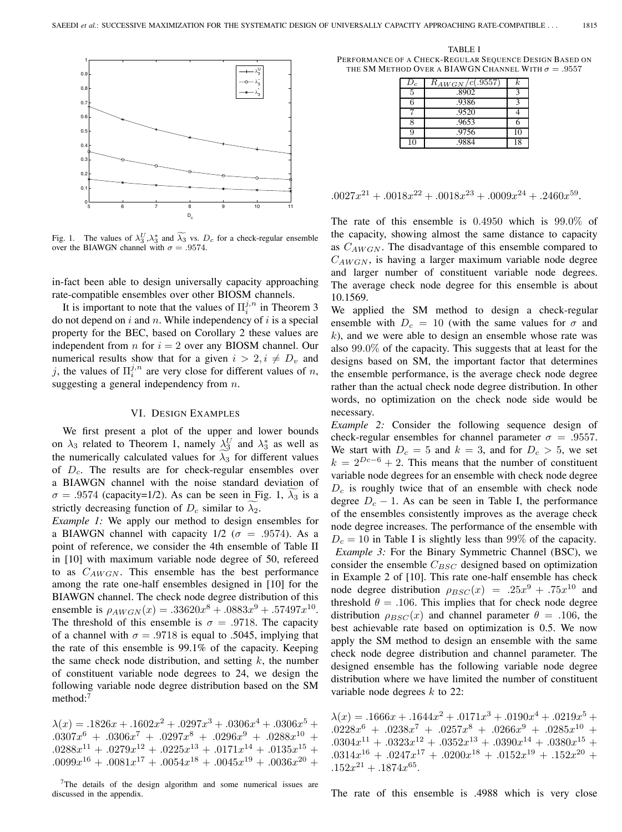

Fig. 1. The values of  $\lambda_3^U, \lambda_3^*$  and  $\lambda_3$  vs.  $D_c$  for a check-regular ensemble over the BIAWGN channel with  $\sigma = .9574$ .

in-fact been able to design universally capacity approaching rate-compatible ensembles over other BIOSM channels.

It is important to note that the values of  $\Pi_i^{j,n}$  in Theorem 3 do not depend on  $i$  and  $n$ . While independency of  $i$  is a special property for the BEC, based on Corollary 2 these values are independent from  $n$  for  $i = 2$  over any BIOSM channel. Our numerical results show that for a given  $i > 2, i \neq D_v$  and j, the values of  $\Pi_i^{j,n}$  are very close for different values of n, suggesting a general independency from  $n$ .

## VI. DESIGN EXAMPLES

We first present a plot of the upper and lower bounds on  $\lambda_3$  related to Theorem 1, namely  $\lambda_3^U$  and  $\lambda_3^*$  as well as the numerically calculated values for  $\lambda_3$  for different values of  $D_c$ . The results are for check-regular ensembles over a BIAWGN channel with the noise standard deviation of  $\sigma = .9574$  (capacity=1/2). As can be seen in Fig. 1,  $\lambda_3$  is a strictly decreasing function of  $D_c$  similar to  $\lambda_2$ .

*Example 1:* We apply our method to design ensembles for a BIAWGN channel with capacity  $1/2$  ( $\sigma = .9574$ ). As a point of reference, we consider the 4th ensemble of Table II in [10] with maximum variable node degree of 50, refereed to as  $C_{AWGN}$ . This ensemble has the best performance among the rate one-half ensembles designed in [10] for the BIAWGN channel. The check node degree distribution of this ensemble is  $\rho_{AWGN}(x) = .33620x^8 + .0883x^9 + .57497x^{10}$ . The threshold of this ensemble is  $\sigma = .9718$ . The capacity of a channel with  $\sigma = .9718$  is equal to .5045, implying that the rate of this ensemble is 99.1% of the capacity. Keeping the same check node distribution, and setting  $k$ , the number of constituent variable node degrees to 24, we design the following variable node degree distribution based on the SM method:<sup>7</sup>

 $\lambda(x) = .1826x + .1602x^2 + .0297x^3 + .0306x^4 + .0306x^5 +$  $.0307x^{6} + .0306x^{7} + .0297x^{8} + .0296x^{9} + .0288x^{10} +$  $.0288x^{11} + .0279x^{12} + .0225x^{13} + .0171x^{14} + .0135x^{15} +$  $.0099x^{16} + .0081x^{17} + .0054x^{18} + .0045x^{19} + .0036x^{20} +$ 

TABLE I PERFORMANCE OF A CHECK-REGULAR SEQUENCE DESIGN BASED ON THE SM METHOD OVER A BIAWGN CHANNEL WITH  $\sigma = .9557$ 

| $D_c$ | $R_{AWGN}/c(.9557)$ | k. |
|-------|---------------------|----|
| 5     | .8902               |    |
| 6     | .9386               |    |
|       | .9520               |    |
|       | .9653               |    |
| 9     | .9756               | 10 |
| 10    | .9884               | 18 |

$$
.0027x^{21} + .0018x^{22} + .0018x^{23} + .0009x^{24} + .2460x^{59}.
$$

The rate of this ensemble is 0.4950 which is 99.0% of the capacity, showing almost the same distance to capacity as  $C_{AWGN}$ . The disadvantage of this ensemble compared to  $C_{AWGN}$ , is having a larger maximum variable node degree and larger number of constituent variable node degrees. The average check node degree for this ensemble is about 10.1569.

We applied the SM method to design a check-regular ensemble with  $D_c = 10$  (with the same values for  $\sigma$  and  $k$ ), and we were able to design an ensemble whose rate was also 99.0% of the capacity. This suggests that at least for the designs based on SM, the important factor that determines the ensemble performance, is the average check node degree rather than the actual check node degree distribution. In other words, no optimization on the check node side would be necessary.

*Example 2:* Consider the following sequence design of check-regular ensembles for channel parameter  $\sigma = .9557$ . We start with  $D_c = 5$  and  $k = 3$ , and for  $D_c > 5$ , we set  $k = 2^{Dc-6} + 2$ . This means that the number of constituent variable node degrees for an ensemble with check node degree  $D<sub>c</sub>$  is roughly twice that of an ensemble with check node degree  $D_c - 1$ . As can be seen in Table I, the performance of the ensembles consistently improves as the average check node degree increases. The performance of the ensemble with  $D_c = 10$  in Table I is slightly less than 99% of the capacity. *Example 3:* For the Binary Symmetric Channel (BSC), we consider the ensemble  $C_{BSC}$  designed based on optimization in Example 2 of [10]. This rate one-half ensemble has check node degree distribution  $\rho_{BSC}(x) = .25x^9 + .75x^{10}$  and threshold  $\theta = .106$ . This implies that for check node degree distribution  $\rho_{BSC}(x)$  and channel parameter  $\theta = .106$ , the best achievable rate based on optimization is 0.5. We now apply the SM method to design an ensemble with the same check node degree distribution and channel parameter. The designed ensemble has the following variable node degree distribution where we have limited the number of constituent variable node degrees  $k$  to 22:

 $\lambda(x) = .1666x + .1644x^2 + .0171x^3 + .0190x^4 + .0219x^5 +$  $.0228x^6 + .0238x^7 + .0257x^8 + .0266x^9 + .0285x^{10} +$  $.0304x^{11} + .0323x^{12} + .0352x^{13} + .0390x^{14} + .0380x^{15} +$  $.0314x^{16} + .0247x^{17} + .0200x^{18} + .0152x^{19} + .152x^{20} +$  $.152x^{21} + .1874x^{65}$ .

The rate of this ensemble is .4988 which is very close

<sup>7</sup>The details of the design algorithm and some numerical issues are discussed in the appendix.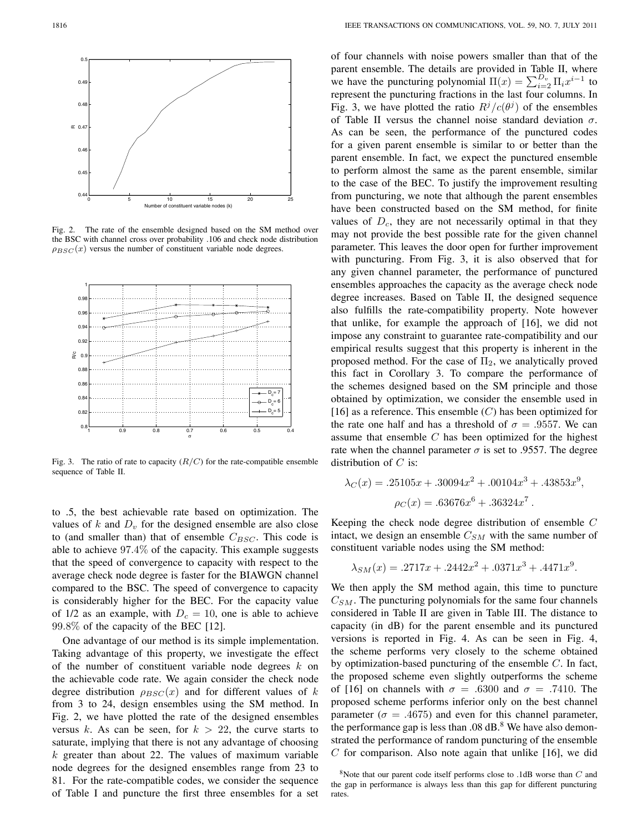

Fig. 2. The rate of the ensemble designed based on the SM method over the BSC with channel cross over probability .106 and check node distribution  $\rho_{BSC}(x)$  versus the number of constituent variable node degrees.



Fig. 3. The ratio of rate to capacity  $(R/C)$  for the rate-compatible ensemble sequence of Table II.

to .5, the best achievable rate based on optimization. The values of  $k$  and  $D_v$  for the designed ensemble are also close to (and smaller than) that of ensemble  $C_{BSC}$ . This code is able to achieve 97.4% of the capacity. This example suggests that the speed of convergence to capacity with respect to the average check node degree is faster for the BIAWGN channel compared to the BSC. The speed of convergence to capacity is considerably higher for the BEC. For the capacity value of 1/2 as an example, with  $D_c = 10$ , one is able to achieve 99.8% of the capacity of the BEC [12].

One advantage of our method is its simple implementation. Taking advantage of this property, we investigate the effect of the number of constituent variable node degrees  $k$  on the achievable code rate. We again consider the check node degree distribution  $\rho_{BSC}(x)$  and for different values of k from 3 to 24, design ensembles using the SM method. In Fig. 2, we have plotted the rate of the designed ensembles versus k. As can be seen, for  $k > 22$ , the curve starts to saturate, implying that there is not any advantage of choosing  $k$  greater than about 22. The values of maximum variable node degrees for the designed ensembles range from 23 to 81. For the rate-compatible codes, we consider the sequence of Table I and puncture the first three ensembles for a set

of four channels with noise powers smaller than that of the parent ensemble. The details are provided in Table II, where we have the puncturing polynomial  $\Pi(x) = \sum_{i=2}^{D_v} \Pi_i x^{i-1}$  to represent the puncturing fractions in the last four columns. In Fig. 3, we have plotted the ratio  $R^{j}/c(\theta^{j})$  of the ensembles of Table II versus the channel noise standard deviation  $\sigma$ . As can be seen, the performance of the punctured codes for a given parent ensemble is similar to or better than the parent ensemble. In fact, we expect the punctured ensemble to perform almost the same as the parent ensemble, similar to the case of the BEC. To justify the improvement resulting from puncturing, we note that although the parent ensembles have been constructed based on the SM method, for finite values of  $D_c$ , they are not necessarily optimal in that they may not provide the best possible rate for the given channel parameter. This leaves the door open for further improvement with puncturing. From Fig. 3, it is also observed that for any given channel parameter, the performance of punctured ensembles approaches the capacity as the average check node degree increases. Based on Table II, the designed sequence also fulfills the rate-compatibility property. Note however that unlike, for example the approach of [16], we did not impose any constraint to guarantee rate-compatibility and our empirical results suggest that this property is inherent in the proposed method. For the case of  $\Pi_2$ , we analytically proved this fact in Corollary 3. To compare the performance of the schemes designed based on the SM principle and those obtained by optimization, we consider the ensemble used in [16] as a reference. This ensemble  $(C)$  has been optimized for the rate one half and has a threshold of  $\sigma = .9557$ . We can assume that ensemble  $C$  has been optimized for the highest rate when the channel parameter  $\sigma$  is set to .9557. The degree distribution of  $C$  is:

$$
\lambda_C(x) = .25105x + .30094x^2 + .00104x^3 + .43853x^9,
$$
  

$$
\rho_C(x) = .63676x^6 + .36324x^7.
$$

Keeping the check node degree distribution of ensemble  $C$ intact, we design an ensemble  $C_{SM}$  with the same number of constituent variable nodes using the SM method:

$$
\lambda_{SM}(x) = .2717x + .2442x^2 + .0371x^3 + .4471x^9.
$$

We then apply the SM method again, this time to puncture  $C_{SM}$ . The puncturing polynomials for the same four channels considered in Table II are given in Table III. The distance to capacity (in dB) for the parent ensemble and its punctured versions is reported in Fig. 4. As can be seen in Fig. 4, the scheme performs very closely to the scheme obtained by optimization-based puncturing of the ensemble  $C$ . In fact, the proposed scheme even slightly outperforms the scheme of [16] on channels with  $\sigma = .6300$  and  $\sigma = .7410$ . The proposed scheme performs inferior only on the best channel parameter ( $\sigma = .4675$ ) and even for this channel parameter, the performance gap is less than  $.08 \text{ dB}$ .<sup>8</sup> We have also demonstrated the performance of random puncturing of the ensemble  $C$  for comparison. Also note again that unlike [16], we did

 $8$ Note that our parent code itself performs close to .1dB worse than  $C$  and the gap in performance is always less than this gap for different puncturing rates.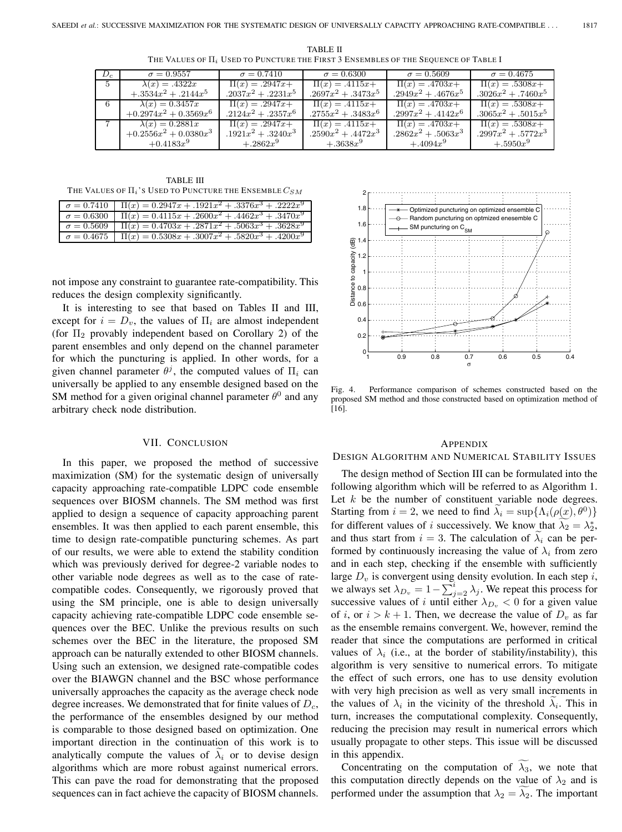| $D_c$          | $\sigma = 0.9557$        | $\sigma = 0.7410$   | $\sigma = 0.6300$     | $\sigma = 0.5609$   | $\sigma = 0.4675$   |
|----------------|--------------------------|---------------------|-----------------------|---------------------|---------------------|
| 5 <sup>5</sup> | $\lambda(x) = .4322x$    | $\Pi(x) = .2947x +$ | $\Pi(x) = .4115x +$   | $\Pi(x) = .4703x +$ | $\Pi(x) = .5308x +$ |
|                | $+.3534x^2+.2144x^5$     | $.2037x^2+.2231x^5$ | $.2697x^2+.3473x^5$   | $.2949x^2+.4676x^5$ | $.3026x^2+.7460x^5$ |
| 6              | $\lambda(x) = 0.3457x$   | $\Pi(x) = .2947x +$ | $\Pi(x) = .4115x +$   | $\Pi(x) = .4703x+$  | $\Pi(x) = .5308x +$ |
|                | $+0.2974x^2 + 0.3569x^6$ | $.2124x^2+.2357x^6$ | $.2755x^2+.3483x^6$   | $.2997x^2+.4142x^6$ | $.3065x^2+.5015x^5$ |
|                | $\lambda(x) = 0.2881x$   | $\Pi(x) = .2947x +$ | $\Pi(x) = .4115x +$   | $\Pi(x) = .4703x +$ | $\Pi(x) = .5308x +$ |
|                | $+0.2556x^2+0.0380x^3$   | $.1921x^2+.3240x^3$ | $.2590x^2 + .4472x^3$ | $.2862x^2+.5063x^3$ | $.2997x^2+.5772x^3$ |
|                | $+0.4183x^{9}$           | $+.2862x^9$         | $+.3638x9$            | $+.4094x^9$         | $+.5950x^{9}$       |

TABLE II THE VALUES OF  $\Pi_i$  USED TO PUNCTURE THE FIRST 3 ENSEMBLES OF THE SEQUENCE OF TABLE I

TABLE III THE VALUES OF  $\Pi_i$ 's USED TO PUNCTURE THE ENSEMBLE  $C_{SM}$ 

| $\sigma = 0.7410$ $\overline{\Pi(x)} = 0.2947x + 0.1921x^2 + 0.3376x^3 + 0.2222x^9$ |
|-------------------------------------------------------------------------------------|
| $\sigma = 0.6300$ $\Pi(x) = 0.4115x + .2600x^2 + .4462x^3 + .3470x^9$               |
| $\sigma = 0.56\overline{09}$ $\Pi(x) = 0.4703x + .2871x^2 + .5063x^3 + .3628x^9$    |
| $\sigma = 0.4675$ $\Pi(x) = 0.5308x + 0.3007x^2 + 0.5820x^3 + 0.4200x^9$            |

not impose any constraint to guarantee rate-compatibility. This reduces the design complexity significantly.

It is interesting to see that based on Tables II and III, except for  $i = D_v$ , the values of  $\Pi_i$  are almost independent (for  $\Pi_2$  provably independent based on Corollary 2) of the parent ensembles and only depend on the channel parameter for which the puncturing is applied. In other words, for a given channel parameter  $\theta^j$ , the computed values of  $\Pi_i$  can universally be applied to any ensemble designed based on the SM method for a given original channel parameter  $\theta^0$  and any arbitrary check node distribution.

### VII. CONCLUSION

In this paper, we proposed the method of successive maximization (SM) for the systematic design of universally capacity approaching rate-compatible LDPC code ensemble sequences over BIOSM channels. The SM method was first applied to design a sequence of capacity approaching parent ensembles. It was then applied to each parent ensemble, this time to design rate-compatible puncturing schemes. As part of our results, we were able to extend the stability condition which was previously derived for degree-2 variable nodes to other variable node degrees as well as to the case of ratecompatible codes. Consequently, we rigorously proved that using the SM principle, one is able to design universally capacity achieving rate-compatible LDPC code ensemble sequences over the BEC. Unlike the previous results on such schemes over the BEC in the literature, the proposed SM approach can be naturally extended to other BIOSM channels. Using such an extension, we designed rate-compatible codes over the BIAWGN channel and the BSC whose performance universally approaches the capacity as the average check node degree increases. We demonstrated that for finite values of  $D<sub>c</sub>$ , the performance of the ensembles designed by our method is comparable to those designed based on optimization. One important direction in the continuation of this work is to analytically compute the values of  $\lambda_i$  or to devise design algorithms which are more robust against numerical errors. This can pave the road for demonstrating that the proposed sequences can in fact achieve the capacity of BIOSM channels.



Fig. 4. Performance comparison of schemes constructed based on the proposed SM method and those constructed based on optimization method of [16].

## APPENDIX

## DESIGN ALGORITHM AND NUMERICAL STABILITY ISSUES

The design method of Section III can be formulated into the following algorithm which will be referred to as Algorithm 1. Let  $k$  be the number of constituent variable node degrees. Starting from  $i = 2$ , we need to find  $\lambda_i = \sup{\{\Lambda_i(\rho(x), \theta^0)\}}$ for different values of *i* successively. We know that  $\lambda_2 = \lambda_2^*$ , and thus start from  $i = 3$ . The calculation of  $\lambda_i$  can be performed by continuously increasing the value of  $\lambda_i$  from zero and in each step, checking if the ensemble with sufficiently large  $D_v$  is convergent using density evolution. In each step i, we always set  $\lambda_{D_v} = 1 - \sum_{j=2}^{i} \lambda_j$ . We repeat this process for successive values of *i* until either  $\lambda_{D_v} < 0$  for a given value of i, or  $i > k + 1$ . Then, we decrease the value of  $D<sub>v</sub>$  as far as the ensemble remains convergent. We, however, remind the reader that since the computations are performed in critical values of  $\lambda_i$  (i.e., at the border of stability/instability), this algorithm is very sensitive to numerical errors. To mitigate the effect of such errors, one has to use density evolution with very high precision as well as very small increments in the values of  $\lambda_i$  in the vicinity of the threshold  $\lambda_i$ . This in turn, increases the computational complexity. Consequently, reducing the precision may result in numerical errors which usually propagate to other steps. This issue will be discussed in this appendix.

Concentrating on the computation of  $\lambda_3$ , we note that this computation directly depends on the value of  $\lambda_2$  and is performed under the assumption that  $\lambda_2 = \lambda_2$ . The important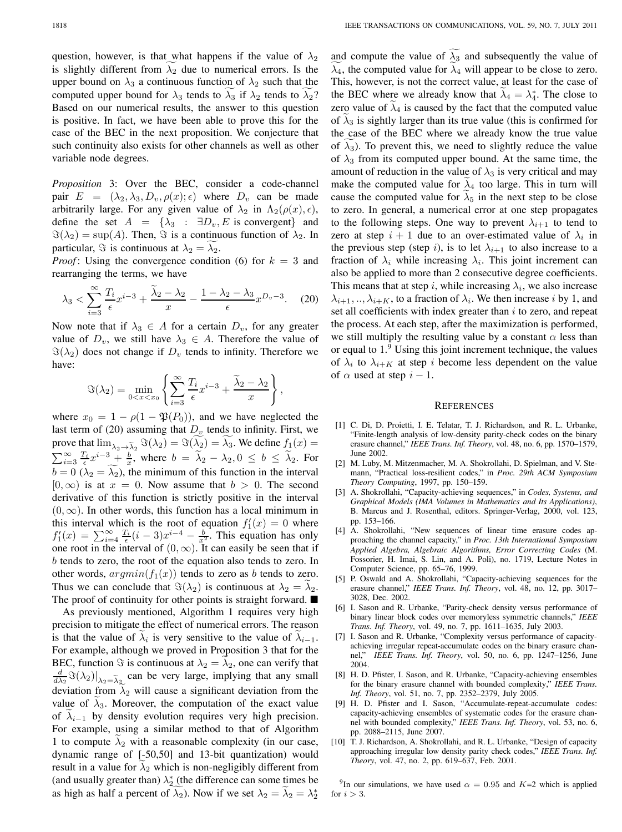question, however, is that what happens if the value of  $\lambda_2$ is slightly different from  $\lambda_2$  due to numerical errors. Is the upper bound on  $\lambda_3$  a continuous function of  $\lambda_2$  such that the computed upper bound for  $\lambda_3$  tends to  $\lambda_3$  if  $\lambda_2$  tends to  $\lambda_2$ ? Based on our numerical results, the answer to this question is positive. In fact, we have been able to prove this for the case of the BEC in the next proposition. We conjecture that such continuity also exists for other channels as well as other variable node degrees.

*Proposition* 3: Over the BEC, consider a code-channel pair  $E = (\lambda_2, \lambda_3, D_v, \rho(x); \epsilon)$  where  $D_v$  can be made arbitrarily large. For any given value of  $\lambda_2$  in  $\Lambda_2(\rho(x), \epsilon)$ , define the set  $A = {\lambda_3 : \exists D_v, E \text{ is convergent}}$  and  $\Im(\lambda_2) = \sup(A)$ . Then,  $\Im$  is a continuous function of  $\lambda_2$ . In particular,  $\Im$  is continuous at  $\lambda_2 = \lambda_2$ .

*Proof*: Using the convergence condition (6) for  $k = 3$  and rearranging the terms, we have

$$
\lambda_3 < \sum_{i=3}^{\infty} \frac{T_i}{\epsilon} x^{i-3} + \frac{\lambda_2 - \lambda_2}{x} - \frac{1 - \lambda_2 - \lambda_3}{\epsilon} x^{D_v - 3}.\tag{20}
$$

Now note that if  $\lambda_3 \in A$  for a certain  $D_v$ , for any greater value of  $D_v$ , we still have  $\lambda_3 \in A$ . Therefore the value of  $\Im(\lambda_2)$  does not change if  $D_v$  tends to infinity. Therefore we have:

$$
\Im(\lambda_2) = \min_{0 < x < x_0} \left\{ \sum_{i=3}^{\infty} \frac{T_i}{\epsilon} x^{i-3} + \frac{\widetilde{\lambda}_2 - \lambda_2}{x} \right\},
$$

where  $x_0 = 1 - \rho(1 - \mathfrak{P}(P_0))$ , and we have neglected the last term of (20) assuming that  $D_v$  tends to infinity. First, we where  $x_0 = 1 - \rho(1 - \mathfrak{P}(P_0))$ , and we have neglected the<br>last term of (20) assuming that  $D_v$  tends to infinity. First, we<br>prove that  $\lim_{\lambda_2 \to \tilde{\lambda}_2} \Im(\lambda_2) = \Im(\widetilde{\lambda_2}) = \widetilde{\lambda_3}$ . We define  $f_1(x) =$  $\sum_{i=3}^{\infty} \frac{T_i}{\epsilon} x^{i-3} + \frac{b}{x}$ , where  $b = \tilde{\lambda}_2 - \lambda_2, 0 \le b \le \tilde{\lambda}_2$ . For  $b = 0 \; (\lambda_2 = \lambda_2)$ , the minimum of this function in the interval  $[0, \infty)$  is at  $x = 0$ . Now assume that  $b > 0$ . The second derivative of this function is strictly positive in the interval  $(0, \infty)$ . In other words, this function has a local minimum in this interval which is the root of equation  $f_1'(x) = 0$  where  $f'_1(x) = \sum_{i=4}^{\infty} \frac{T_i}{\epsilon} (i-3)x^{i-4} - \frac{b}{x^2}$ . This equation has only one root in the interval of  $(0, \infty)$ . It can easily be seen that if  $b$  tends to zero, the root of the equation also tends to zero. In other words,  $argmin(f_1(x))$  tends to zero as *b* tends to zero. Thus we can conclude that  $\Im(\lambda_2)$  is continuous at  $\lambda_2 = \lambda_2$ . The proof of continuity for other points is straight forward. ■

As previously mentioned, Algorithm 1 requires very high precision to mitigate the effect of numerical errors. The reason is that the value of  $\lambda_i$  is very sensitive to the value of  $\lambda_{i-1}$ . For example, although we proved in Proposition 3 that for the BEC, function  $\Im$  is continuous at  $\lambda_2 = \lambda_2$ , one can verify that It is that the value of  $\lambda_i$  is very sensitive to the value of  $\lambda_{i-1}$ .<br>For example, although we proved in Proposition 3 that for the BEC, function  $\Im$  is continuous at  $\lambda_2 = \lambda_2$ , one can verify that  $\frac{d}{d\lambda_2} \Im$ deviation from  $\lambda_2$  will cause a significant deviation from the value of  $\lambda_3$ . Moreover, the computation of the exact value of  $\lambda_{i-1}$  by density evolution requires very high precision. For example, using a similar method to that of Algorithm 1 to compute  $\lambda_2$  with a reasonable complexity (in our case, dynamic range of [-50,50] and 13-bit quantization) would result in a value for  $\lambda_2$  which is non-negligibly different from (and usually greater than)  $\lambda_2^*$  (the difference can some times be as high as half a percent of  $\lambda_2$ ). Now if we set  $\lambda_2 = \lambda_2 = \lambda_2^*$ 

and compute the value of  $\lambda_3$  and subsequently the value of  $\lambda_4$ , the computed value for  $\lambda_4$  will appear to be close to zero. This, however, is not the correct value, at least for the case of the BEC where we already know that  $\lambda_4 = \lambda_4^*$ . The close to zero value of  $\lambda_4$  is caused by the fact that the computed value of  $\lambda_3$  is sightly larger than its true value (this is confirmed for the case of the BEC where we already know the true value of  $\lambda_3$ ). To prevent this, we need to slightly reduce the value of  $\lambda_3$  from its computed upper bound. At the same time, the amount of reduction in the value of  $\lambda_3$  is very critical and may make the computed value for  $\lambda_4$  too large. This in turn will cause the computed value for  $\lambda_5$  in the next step to be close to zero. In general, a numerical error at one step propagates to the following steps. One way to prevent  $\lambda_{i+1}$  to tend to zero at step  $i + 1$  due to an over-estimated value of  $\lambda_i$  in the previous step (step i), is to let  $\lambda_{i+1}$  to also increase to a fraction of  $\lambda_i$  while increasing  $\lambda_i$ . This joint increment can also be applied to more than 2 consecutive degree coefficients. This means that at step i, while increasing  $\lambda_i$ , we also increase  $\lambda_{i+1}, \ldots, \lambda_{i+K}$ , to a fraction of  $\lambda_i$ . We then increase *i* by 1, and set all coefficients with index greater than  $i$  to zero, and repeat the process. At each step, after the maximization is performed, we still multiply the resulting value by a constant  $\alpha$  less than or equal to 1.<sup>9</sup> Using this joint increment technique, the values of  $\lambda_i$  to  $\lambda_{i+K}$  at step *i* become less dependent on the value of  $\alpha$  used at step  $i - 1$ .

#### **REFERENCES**

- [1] C. Di, D. Proietti, I. E. Telatar, T. J. Richardson, and R. L. Urbanke, "Finite-length analysis of low-density parity-check codes on the binary erasure channel," *IEEE Trans. Inf. Theory*, vol. 48, no. 6, pp. 1570–1579, June 2002.
- [2] M. Luby, M. Mitzenmacher, M. A. Shokrollahi, D. Spielman, and V. Stemann, "Practical loss-resilient codes," in *Proc. 29th ACM Symposium Theory Computing*, 1997, pp. 150–159.
- [3] A. Shokrollahi, "Capacity-achieving sequences," in *Codes, Systems, and Graphical Models (IMA Volumes in Mathematics and Its Applications)*, B. Marcus and J. Rosenthal, editors. Springer-Verlag, 2000, vol. 123, pp. 153–166.
- [4] A. Shokrollahi, "New sequences of linear time erasure codes approaching the channel capacity," in *Proc. 13th International Symposium Applied Algebra, Algebraic Algorithms, Error Correcting Codes* (M. Fossorier, H. Imai, S. Lin, and A. Poli), no. 1719, Lecture Notes in Computer Science, pp. 65–76, 1999.
- [5] P. Oswald and A. Shokrollahi, "Capacity-achieving sequences for the erasure channel," *IEEE Trans. Inf. Theory*, vol. 48, no. 12, pp. 3017– 3028, Dec. 2002.
- [6] I. Sason and R. Urbanke, "Parity-check density versus performance of binary linear block codes over memoryless symmetric channels," *IEEE Trans. Inf. Theory*, vol. 49, no. 7, pp. 1611–1635, July 2003.
- [7] I. Sason and R. Urbanke, "Complexity versus performance of capacityachieving irregular repeat-accumulate codes on the binary erasure channel," *IEEE Trans. Inf. Theory*, vol. 50, no. 6, pp. 1247–1256, June 2004.
- [8] H. D. Pfister, I. Sason, and R. Urbanke, "Capacity-achieving ensembles for the binary erasure channel with bounded complexity," *IEEE Trans. Inf. Theory*, vol. 51, no. 7, pp. 2352–2379, July 2005.
- [9] H. D. Pfister and I. Sason, "Accumulate-repeat-accumulate codes: capacity-achieving ensembles of systematic codes for the erasure channel with bounded complexity," *IEEE Trans. Inf. Theory*, vol. 53, no. 6, pp. 2088–2115, June 2007.
- [10] T. J. Richardson, A. Shokrollahi, and R. L. Urbanke, "Design of capacity approaching irregular low density parity check codes," *IEEE Trans. Inf. Theory*, vol. 47, no. 2, pp. 619–637, Feb. 2001.

<sup>9</sup>In our simulations, we have used  $\alpha = 0.95$  and  $K=2$  which is applied for  $i > 3$ .